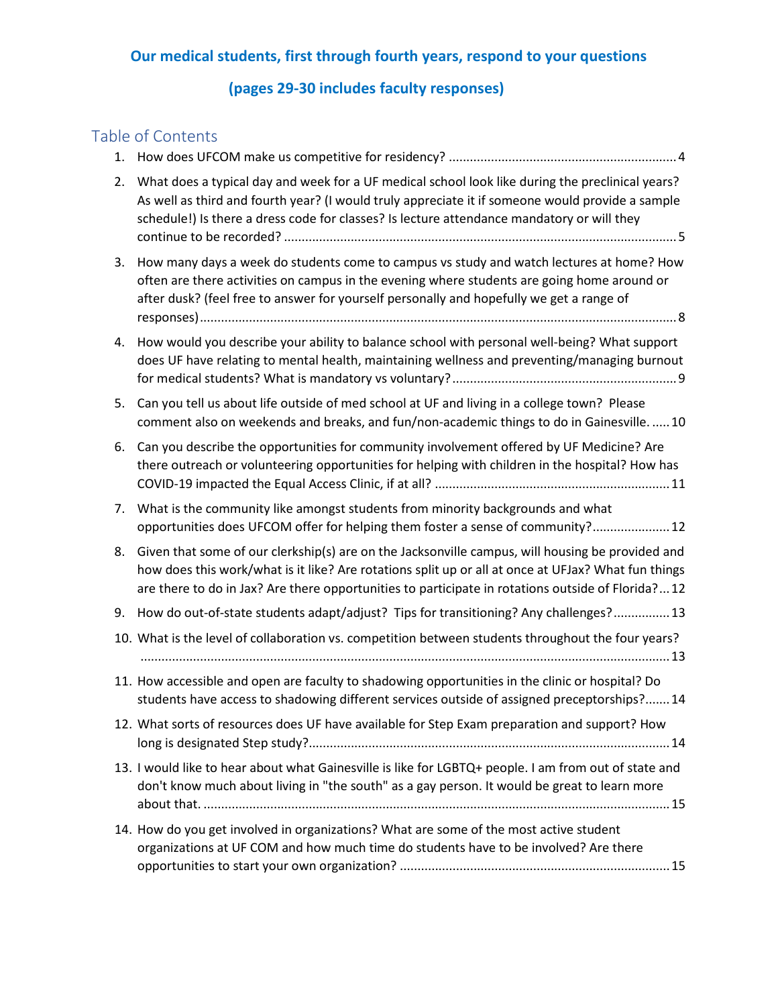# **Our medical students, first through fourth years, respond to your questions**

# **(pages 29-30 includes faculty responses)**

# Table of Contents

| 1. |                                                                                                                                                                                                                                                                                                               |
|----|---------------------------------------------------------------------------------------------------------------------------------------------------------------------------------------------------------------------------------------------------------------------------------------------------------------|
| 2. | What does a typical day and week for a UF medical school look like during the preclinical years?<br>As well as third and fourth year? (I would truly appreciate it if someone would provide a sample<br>schedule!) Is there a dress code for classes? Is lecture attendance mandatory or will they            |
| 3. | How many days a week do students come to campus vs study and watch lectures at home? How<br>often are there activities on campus in the evening where students are going home around or<br>after dusk? (feel free to answer for yourself personally and hopefully we get a range of                           |
| 4. | How would you describe your ability to balance school with personal well-being? What support<br>does UF have relating to mental health, maintaining wellness and preventing/managing burnout                                                                                                                  |
| 5. | Can you tell us about life outside of med school at UF and living in a college town? Please<br>comment also on weekends and breaks, and fun/non-academic things to do in Gainesville.  10                                                                                                                     |
| 6. | Can you describe the opportunities for community involvement offered by UF Medicine? Are<br>there outreach or volunteering opportunities for helping with children in the hospital? How has                                                                                                                   |
| 7. | What is the community like amongst students from minority backgrounds and what<br>opportunities does UFCOM offer for helping them foster a sense of community? 12                                                                                                                                             |
| 8. | Given that some of our clerkship(s) are on the Jacksonville campus, will housing be provided and<br>how does this work/what is it like? Are rotations split up or all at once at UFJax? What fun things<br>are there to do in Jax? Are there opportunities to participate in rotations outside of Florida? 12 |
| 9. | How do out-of-state students adapt/adjust? Tips for transitioning? Any challenges?  13                                                                                                                                                                                                                        |
|    | 10. What is the level of collaboration vs. competition between students throughout the four years?                                                                                                                                                                                                            |
|    | 11. How accessible and open are faculty to shadowing opportunities in the clinic or hospital? Do<br>students have access to shadowing different services outside of assigned preceptorships? 14                                                                                                               |
|    | 12. What sorts of resources does UF have available for Step Exam preparation and support? How                                                                                                                                                                                                                 |
|    | 13. I would like to hear about what Gainesville is like for LGBTQ+ people. I am from out of state and<br>don't know much about living in "the south" as a gay person. It would be great to learn more                                                                                                         |
|    | 14. How do you get involved in organizations? What are some of the most active student<br>organizations at UF COM and how much time do students have to be involved? Are there                                                                                                                                |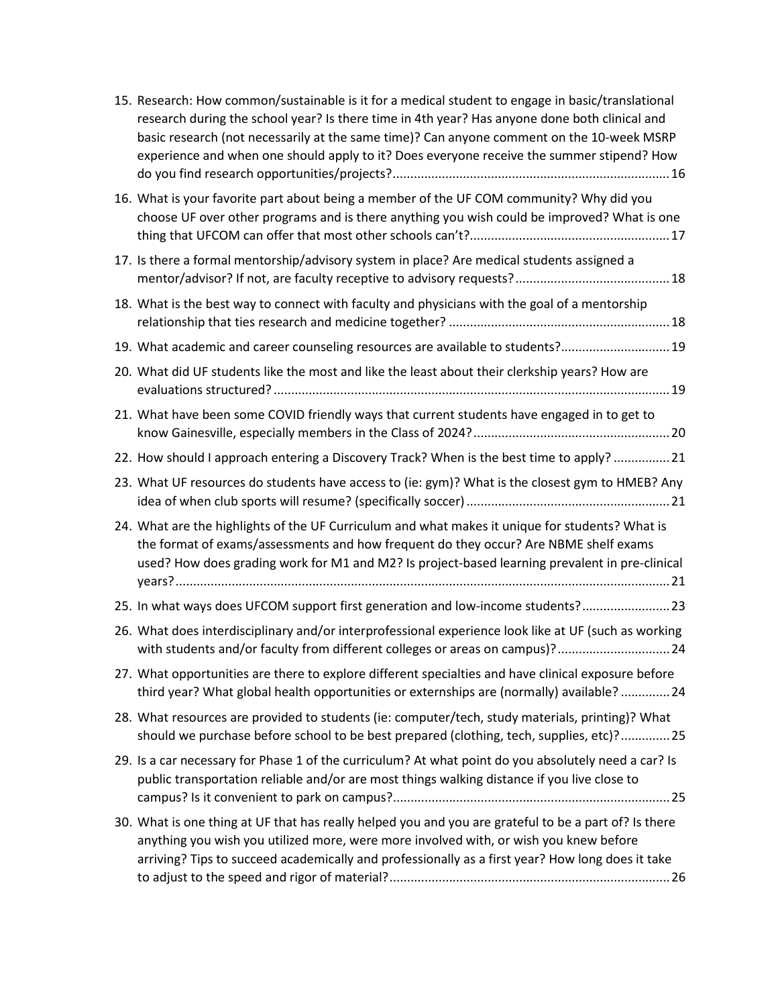| 15. Research: How common/sustainable is it for a medical student to engage in basic/translational<br>research during the school year? Is there time in 4th year? Has anyone done both clinical and<br>basic research (not necessarily at the same time)? Can anyone comment on the 10-week MSRP<br>experience and when one should apply to it? Does everyone receive the summer stipend? How |
|----------------------------------------------------------------------------------------------------------------------------------------------------------------------------------------------------------------------------------------------------------------------------------------------------------------------------------------------------------------------------------------------|
| 16. What is your favorite part about being a member of the UF COM community? Why did you<br>choose UF over other programs and is there anything you wish could be improved? What is one                                                                                                                                                                                                      |
| 17. Is there a formal mentorship/advisory system in place? Are medical students assigned a                                                                                                                                                                                                                                                                                                   |
| 18. What is the best way to connect with faculty and physicians with the goal of a mentorship                                                                                                                                                                                                                                                                                                |
| 19. What academic and career counseling resources are available to students? 19                                                                                                                                                                                                                                                                                                              |
| 20. What did UF students like the most and like the least about their clerkship years? How are                                                                                                                                                                                                                                                                                               |
| 21. What have been some COVID friendly ways that current students have engaged in to get to                                                                                                                                                                                                                                                                                                  |
| 22. How should I approach entering a Discovery Track? When is the best time to apply? 21                                                                                                                                                                                                                                                                                                     |
| 23. What UF resources do students have access to (ie: gym)? What is the closest gym to HMEB? Any                                                                                                                                                                                                                                                                                             |
| 24. What are the highlights of the UF Curriculum and what makes it unique for students? What is<br>the format of exams/assessments and how frequent do they occur? Are NBME shelf exams<br>used? How does grading work for M1 and M2? Is project-based learning prevalent in pre-clinical                                                                                                    |
| 25. In what ways does UFCOM support first generation and low-income students? 23                                                                                                                                                                                                                                                                                                             |
| 26. What does interdisciplinary and/or interprofessional experience look like at UF (such as working<br>with students and/or faculty from different colleges or areas on campus)? 24                                                                                                                                                                                                         |
| 27. What opportunities are there to explore different specialties and have clinical exposure before<br>third year? What global health opportunities or externships are (normally) available?  24                                                                                                                                                                                             |
| 28. What resources are provided to students (ie: computer/tech, study materials, printing)? What<br>should we purchase before school to be best prepared (clothing, tech, supplies, etc)?25                                                                                                                                                                                                  |
| 29. Is a car necessary for Phase 1 of the curriculum? At what point do you absolutely need a car? Is<br>public transportation reliable and/or are most things walking distance if you live close to                                                                                                                                                                                          |
| 30. What is one thing at UF that has really helped you and you are grateful to be a part of? Is there<br>anything you wish you utilized more, were more involved with, or wish you knew before<br>arriving? Tips to succeed academically and professionally as a first year? How long does it take                                                                                           |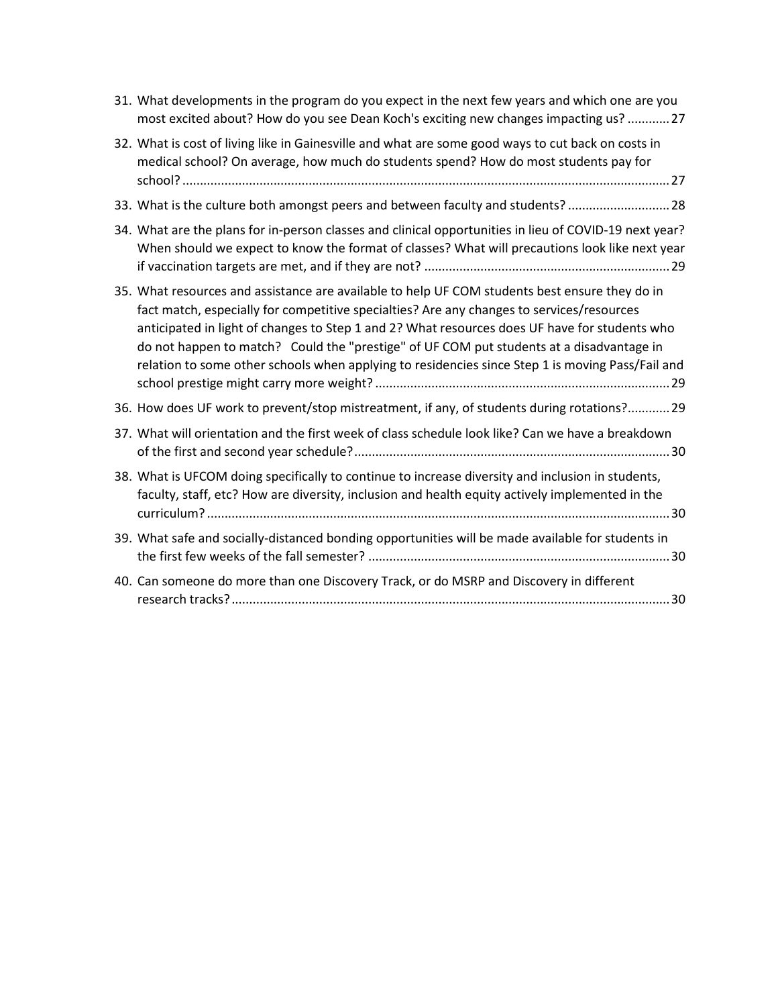| 31. What developments in the program do you expect in the next few years and which one are you<br>most excited about? How do you see Dean Koch's exciting new changes impacting us?  27                                                                                                                                                                                                                                                                                                      |
|----------------------------------------------------------------------------------------------------------------------------------------------------------------------------------------------------------------------------------------------------------------------------------------------------------------------------------------------------------------------------------------------------------------------------------------------------------------------------------------------|
| 32. What is cost of living like in Gainesville and what are some good ways to cut back on costs in<br>medical school? On average, how much do students spend? How do most students pay for                                                                                                                                                                                                                                                                                                   |
| 33. What is the culture both amongst peers and between faculty and students?  28                                                                                                                                                                                                                                                                                                                                                                                                             |
| 34. What are the plans for in-person classes and clinical opportunities in lieu of COVID-19 next year?<br>When should we expect to know the format of classes? What will precautions look like next year                                                                                                                                                                                                                                                                                     |
| 35. What resources and assistance are available to help UF COM students best ensure they do in<br>fact match, especially for competitive specialties? Are any changes to services/resources<br>anticipated in light of changes to Step 1 and 2? What resources does UF have for students who<br>do not happen to match? Could the "prestige" of UF COM put students at a disadvantage in<br>relation to some other schools when applying to residencies since Step 1 is moving Pass/Fail and |
| 36. How does UF work to prevent/stop mistreatment, if any, of students during rotations? 29                                                                                                                                                                                                                                                                                                                                                                                                  |
| 37. What will orientation and the first week of class schedule look like? Can we have a breakdown                                                                                                                                                                                                                                                                                                                                                                                            |
| 38. What is UFCOM doing specifically to continue to increase diversity and inclusion in students,<br>faculty, staff, etc? How are diversity, inclusion and health equity actively implemented in the                                                                                                                                                                                                                                                                                         |
| 39. What safe and socially-distanced bonding opportunities will be made available for students in                                                                                                                                                                                                                                                                                                                                                                                            |
| 40. Can someone do more than one Discovery Track, or do MSRP and Discovery in different                                                                                                                                                                                                                                                                                                                                                                                                      |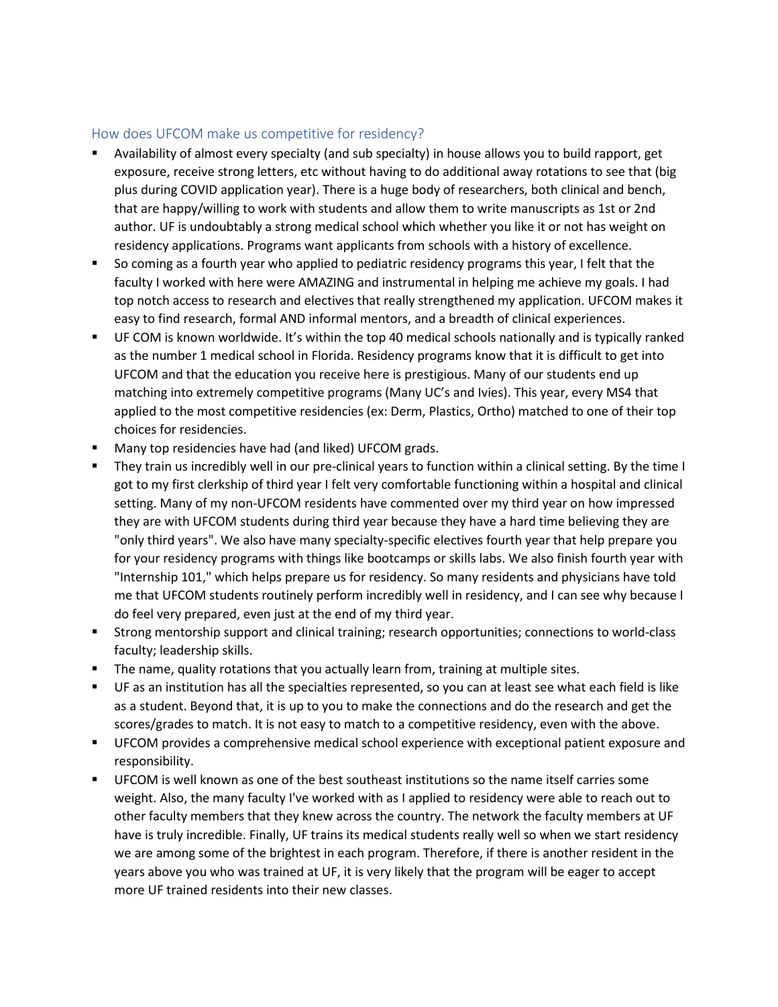#### <span id="page-3-0"></span>How does UFCOM make us competitive for residency?

- Availability of almost every specialty (and sub specialty) in house allows you to build rapport, get exposure, receive strong letters, etc without having to do additional away rotations to see that (big plus during COVID application year). There is a huge body of researchers, both clinical and bench, that are happy/willing to work with students and allow them to write manuscripts as 1st or 2nd author. UF is undoubtably a strong medical school which whether you like it or not has weight on residency applications. Programs want applicants from schools with a history of excellence.
- So coming as a fourth year who applied to pediatric residency programs this year, I felt that the faculty I worked with here were AMAZING and instrumental in helping me achieve my goals. I had top notch access to research and electives that really strengthened my application. UFCOM makes it easy to find research, formal AND informal mentors, and a breadth of clinical experiences.
- UF COM is known worldwide. It's within the top 40 medical schools nationally and is typically ranked as the number 1 medical school in Florida. Residency programs know that it is difficult to get into UFCOM and that the education you receive here is prestigious. Many of our students end up matching into extremely competitive programs (Many UC's and Ivies). This year, every MS4 that applied to the most competitive residencies (ex: Derm, Plastics, Ortho) matched to one of their top choices for residencies.
- **Many top residencies have had (and liked) UFCOM grads.**
- They train us incredibly well in our pre-clinical years to function within a clinical setting. By the time I got to my first clerkship of third year I felt very comfortable functioning within a hospital and clinical setting. Many of my non-UFCOM residents have commented over my third year on how impressed they are with UFCOM students during third year because they have a hard time believing they are "only third years". We also have many specialty-specific electives fourth year that help prepare you for your residency programs with things like bootcamps or skills labs. We also finish fourth year with "Internship 101," which helps prepare us for residency. So many residents and physicians have told me that UFCOM students routinely perform incredibly well in residency, and I can see why because I do feel very prepared, even just at the end of my third year.
- Strong mentorship support and clinical training; research opportunities; connections to world-class faculty; leadership skills.
- The name, quality rotations that you actually learn from, training at multiple sites.
- UF as an institution has all the specialties represented, so you can at least see what each field is like as a student. Beyond that, it is up to you to make the connections and do the research and get the scores/grades to match. It is not easy to match to a competitive residency, even with the above.
- UFCOM provides a comprehensive medical school experience with exceptional patient exposure and responsibility.
- UFCOM is well known as one of the best southeast institutions so the name itself carries some weight. Also, the many faculty I've worked with as I applied to residency were able to reach out to other faculty members that they knew across the country. The network the faculty members at UF have is truly incredible. Finally, UF trains its medical students really well so when we start residency we are among some of the brightest in each program. Therefore, if there is another resident in the years above you who was trained at UF, it is very likely that the program will be eager to accept more UF trained residents into their new classes.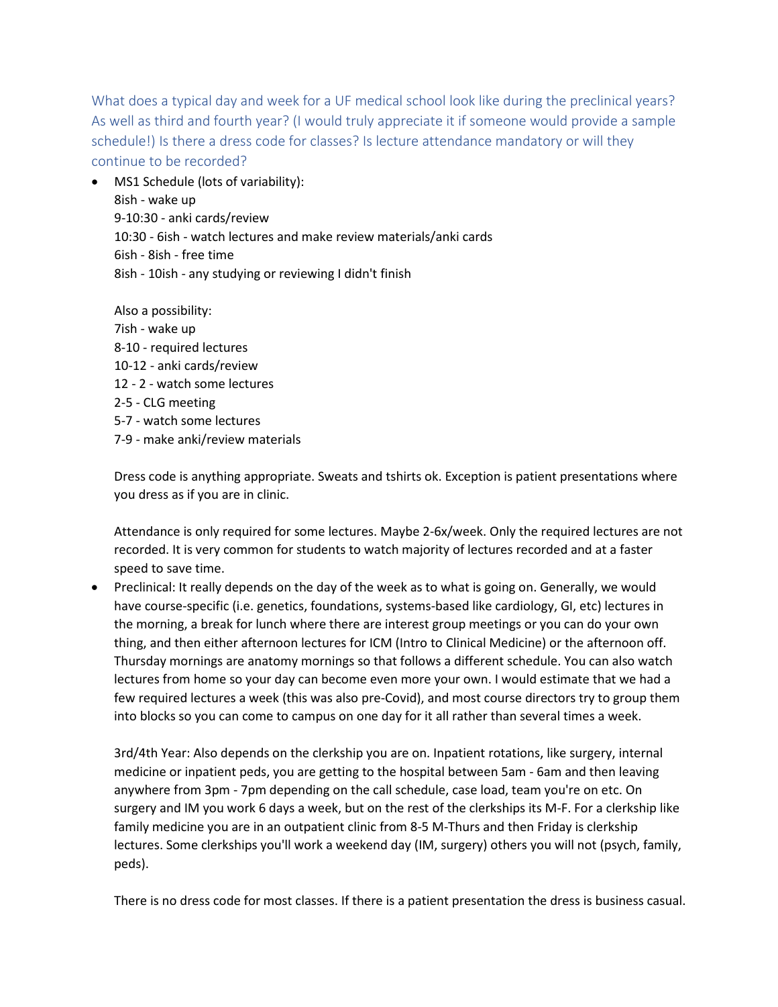<span id="page-4-0"></span>What does a typical day and week for a UF medical school look like during the preclinical years? As well as third and fourth year? (I would truly appreciate it if someone would provide a sample schedule!) Is there a dress code for classes? Is lecture attendance mandatory or will they continue to be recorded?

• MS1 Schedule (lots of variability): 8ish - wake up 9-10:30 - anki cards/review 10:30 - 6ish - watch lectures and make review materials/anki cards 6ish - 8ish - free time 8ish - 10ish - any studying or reviewing I didn't finish

Also a possibility: 7ish - wake up 8-10 - required lectures 10-12 - anki cards/review 12 - 2 - watch some lectures 2-5 - CLG meeting 5-7 - watch some lectures 7-9 - make anki/review materials

Dress code is anything appropriate. Sweats and tshirts ok. Exception is patient presentations where you dress as if you are in clinic.

Attendance is only required for some lectures. Maybe 2-6x/week. Only the required lectures are not recorded. It is very common for students to watch majority of lectures recorded and at a faster speed to save time.

• Preclinical: It really depends on the day of the week as to what is going on. Generally, we would have course-specific (i.e. genetics, foundations, systems-based like cardiology, GI, etc) lectures in the morning, a break for lunch where there are interest group meetings or you can do your own thing, and then either afternoon lectures for ICM (Intro to Clinical Medicine) or the afternoon off. Thursday mornings are anatomy mornings so that follows a different schedule. You can also watch lectures from home so your day can become even more your own. I would estimate that we had a few required lectures a week (this was also pre-Covid), and most course directors try to group them into blocks so you can come to campus on one day for it all rather than several times a week.

3rd/4th Year: Also depends on the clerkship you are on. Inpatient rotations, like surgery, internal medicine or inpatient peds, you are getting to the hospital between 5am - 6am and then leaving anywhere from 3pm - 7pm depending on the call schedule, case load, team you're on etc. On surgery and IM you work 6 days a week, but on the rest of the clerkships its M-F. For a clerkship like family medicine you are in an outpatient clinic from 8-5 M-Thurs and then Friday is clerkship lectures. Some clerkships you'll work a weekend day (IM, surgery) others you will not (psych, family, peds).

There is no dress code for most classes. If there is a patient presentation the dress is business casual.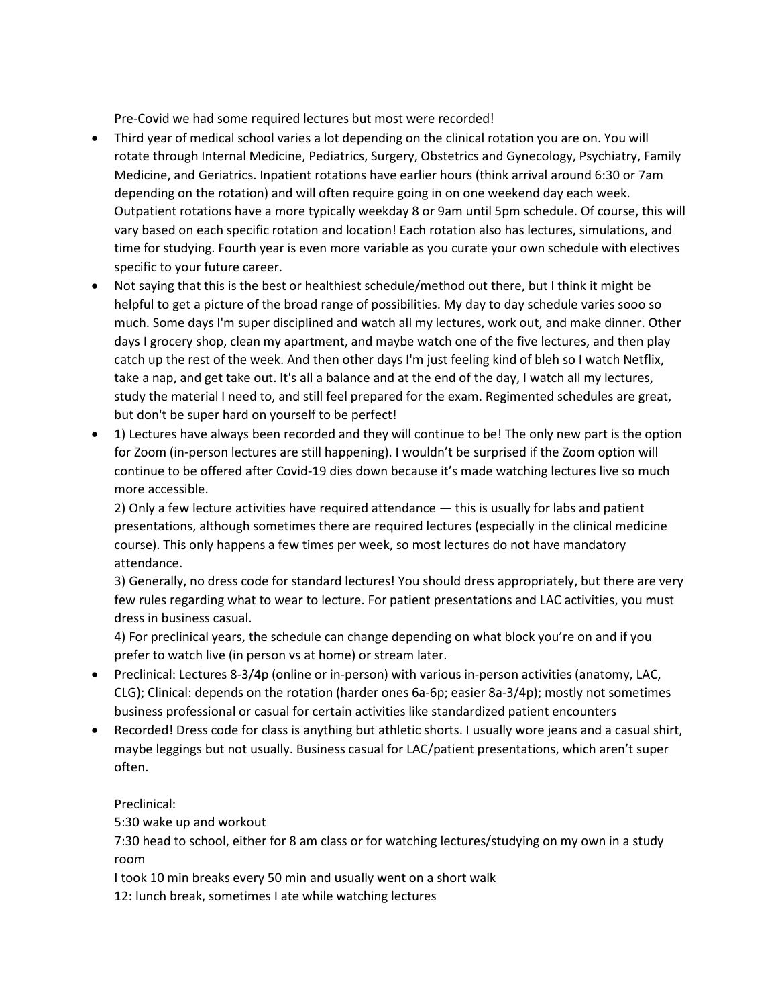Pre-Covid we had some required lectures but most were recorded!

- Third year of medical school varies a lot depending on the clinical rotation you are on. You will rotate through Internal Medicine, Pediatrics, Surgery, Obstetrics and Gynecology, Psychiatry, Family Medicine, and Geriatrics. Inpatient rotations have earlier hours (think arrival around 6:30 or 7am depending on the rotation) and will often require going in on one weekend day each week. Outpatient rotations have a more typically weekday 8 or 9am until 5pm schedule. Of course, this will vary based on each specific rotation and location! Each rotation also has lectures, simulations, and time for studying. Fourth year is even more variable as you curate your own schedule with electives specific to your future career.
- Not saying that this is the best or healthiest schedule/method out there, but I think it might be helpful to get a picture of the broad range of possibilities. My day to day schedule varies sooo so much. Some days I'm super disciplined and watch all my lectures, work out, and make dinner. Other days I grocery shop, clean my apartment, and maybe watch one of the five lectures, and then play catch up the rest of the week. And then other days I'm just feeling kind of bleh so I watch Netflix, take a nap, and get take out. It's all a balance and at the end of the day, I watch all my lectures, study the material I need to, and still feel prepared for the exam. Regimented schedules are great, but don't be super hard on yourself to be perfect!
- 1) Lectures have always been recorded and they will continue to be! The only new part is the option for Zoom (in-person lectures are still happening). I wouldn't be surprised if the Zoom option will continue to be offered after Covid-19 dies down because it's made watching lectures live so much more accessible.

2) Only a few lecture activities have required attendance — this is usually for labs and patient presentations, although sometimes there are required lectures (especially in the clinical medicine course). This only happens a few times per week, so most lectures do not have mandatory attendance.

3) Generally, no dress code for standard lectures! You should dress appropriately, but there are very few rules regarding what to wear to lecture. For patient presentations and LAC activities, you must dress in business casual.

4) For preclinical years, the schedule can change depending on what block you're on and if you prefer to watch live (in person vs at home) or stream later.

- Preclinical: Lectures 8-3/4p (online or in-person) with various in-person activities (anatomy, LAC, CLG); Clinical: depends on the rotation (harder ones 6a-6p; easier 8a-3/4p); mostly not sometimes business professional or casual for certain activities like standardized patient encounters
- Recorded! Dress code for class is anything but athletic shorts. I usually wore jeans and a casual shirt, maybe leggings but not usually. Business casual for LAC/patient presentations, which aren't super often.

#### Preclinical:

5:30 wake up and workout

7:30 head to school, either for 8 am class or for watching lectures/studying on my own in a study room

I took 10 min breaks every 50 min and usually went on a short walk

12: lunch break, sometimes I ate while watching lectures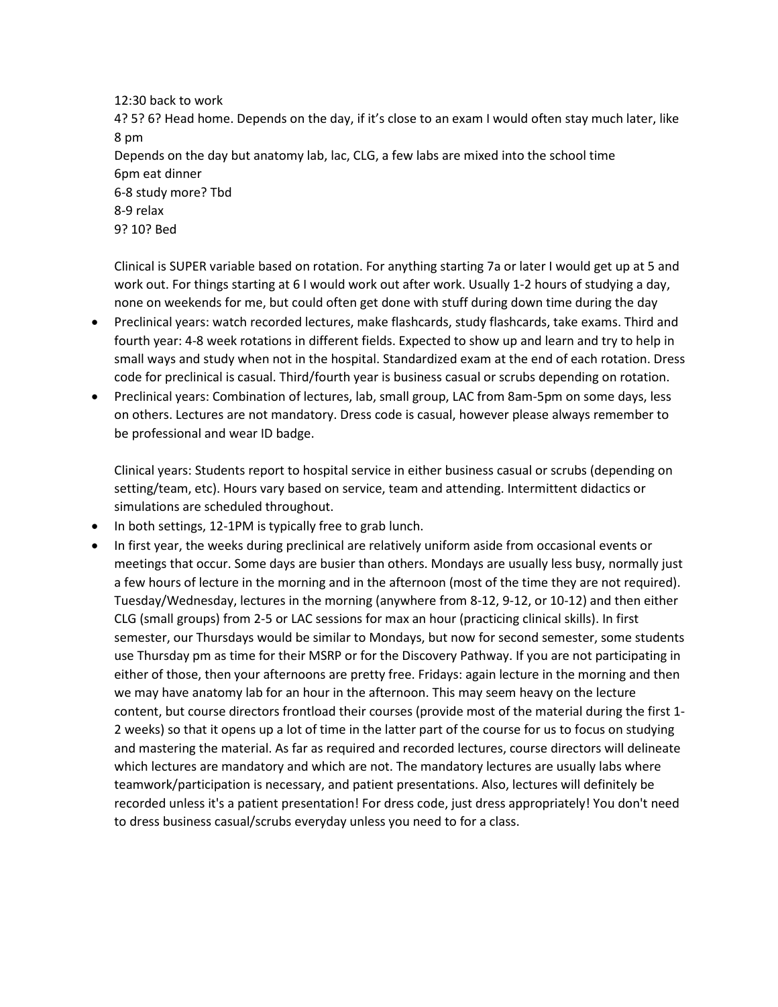12:30 back to work 4? 5? 6? Head home. Depends on the day, if it's close to an exam I would often stay much later, like 8 pm Depends on the day but anatomy lab, lac, CLG, a few labs are mixed into the school time 6pm eat dinner 6-8 study more? Tbd 8-9 relax 9? 10? Bed

Clinical is SUPER variable based on rotation. For anything starting 7a or later I would get up at 5 and work out. For things starting at 6 I would work out after work. Usually 1-2 hours of studying a day, none on weekends for me, but could often get done with stuff during down time during the day

- Preclinical years: watch recorded lectures, make flashcards, study flashcards, take exams. Third and fourth year: 4-8 week rotations in different fields. Expected to show up and learn and try to help in small ways and study when not in the hospital. Standardized exam at the end of each rotation. Dress code for preclinical is casual. Third/fourth year is business casual or scrubs depending on rotation.
- Preclinical years: Combination of lectures, lab, small group, LAC from 8am-5pm on some days, less on others. Lectures are not mandatory. Dress code is casual, however please always remember to be professional and wear ID badge.

Clinical years: Students report to hospital service in either business casual or scrubs (depending on setting/team, etc). Hours vary based on service, team and attending. Intermittent didactics or simulations are scheduled throughout.

- In both settings, 12-1PM is typically free to grab lunch.
- In first year, the weeks during preclinical are relatively uniform aside from occasional events or meetings that occur. Some days are busier than others. Mondays are usually less busy, normally just a few hours of lecture in the morning and in the afternoon (most of the time they are not required). Tuesday/Wednesday, lectures in the morning (anywhere from 8-12, 9-12, or 10-12) and then either CLG (small groups) from 2-5 or LAC sessions for max an hour (practicing clinical skills). In first semester, our Thursdays would be similar to Mondays, but now for second semester, some students use Thursday pm as time for their MSRP or for the Discovery Pathway. If you are not participating in either of those, then your afternoons are pretty free. Fridays: again lecture in the morning and then we may have anatomy lab for an hour in the afternoon. This may seem heavy on the lecture content, but course directors frontload their courses (provide most of the material during the first 1- 2 weeks) so that it opens up a lot of time in the latter part of the course for us to focus on studying and mastering the material. As far as required and recorded lectures, course directors will delineate which lectures are mandatory and which are not. The mandatory lectures are usually labs where teamwork/participation is necessary, and patient presentations. Also, lectures will definitely be recorded unless it's a patient presentation! For dress code, just dress appropriately! You don't need to dress business casual/scrubs everyday unless you need to for a class.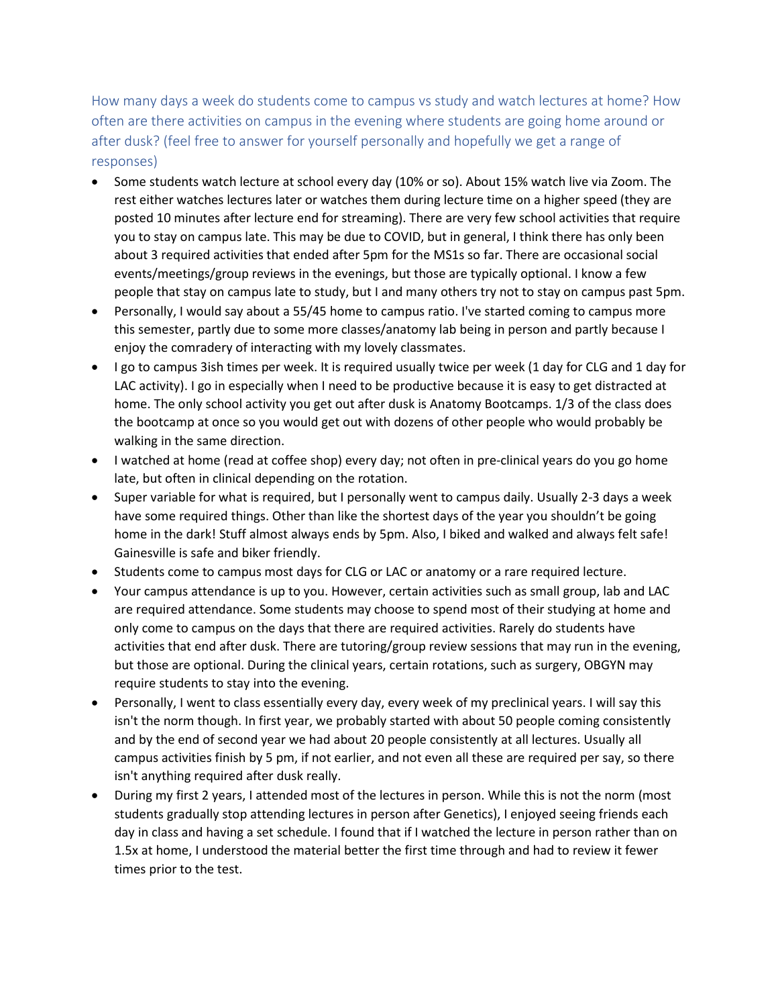<span id="page-7-0"></span>How many days a week do students come to campus vs study and watch lectures at home? How often are there activities on campus in the evening where students are going home around or after dusk? (feel free to answer for yourself personally and hopefully we get a range of responses)

- Some students watch lecture at school every day (10% or so). About 15% watch live via Zoom. The rest either watches lectures later or watches them during lecture time on a higher speed (they are posted 10 minutes after lecture end for streaming). There are very few school activities that require you to stay on campus late. This may be due to COVID, but in general, I think there has only been about 3 required activities that ended after 5pm for the MS1s so far. There are occasional social events/meetings/group reviews in the evenings, but those are typically optional. I know a few people that stay on campus late to study, but I and many others try not to stay on campus past 5pm.
- Personally, I would say about a 55/45 home to campus ratio. I've started coming to campus more this semester, partly due to some more classes/anatomy lab being in person and partly because I enjoy the comradery of interacting with my lovely classmates.
- I go to campus 3ish times per week. It is required usually twice per week (1 day for CLG and 1 day for LAC activity). I go in especially when I need to be productive because it is easy to get distracted at home. The only school activity you get out after dusk is Anatomy Bootcamps. 1/3 of the class does the bootcamp at once so you would get out with dozens of other people who would probably be walking in the same direction.
- I watched at home (read at coffee shop) every day; not often in pre-clinical years do you go home late, but often in clinical depending on the rotation.
- Super variable for what is required, but I personally went to campus daily. Usually 2-3 days a week have some required things. Other than like the shortest days of the year you shouldn't be going home in the dark! Stuff almost always ends by 5pm. Also, I biked and walked and always felt safe! Gainesville is safe and biker friendly.
- Students come to campus most days for CLG or LAC or anatomy or a rare required lecture.
- Your campus attendance is up to you. However, certain activities such as small group, lab and LAC are required attendance. Some students may choose to spend most of their studying at home and only come to campus on the days that there are required activities. Rarely do students have activities that end after dusk. There are tutoring/group review sessions that may run in the evening, but those are optional. During the clinical years, certain rotations, such as surgery, OBGYN may require students to stay into the evening.
- Personally, I went to class essentially every day, every week of my preclinical years. I will say this isn't the norm though. In first year, we probably started with about 50 people coming consistently and by the end of second year we had about 20 people consistently at all lectures. Usually all campus activities finish by 5 pm, if not earlier, and not even all these are required per say, so there isn't anything required after dusk really.
- During my first 2 years, I attended most of the lectures in person. While this is not the norm (most students gradually stop attending lectures in person after Genetics), I enjoyed seeing friends each day in class and having a set schedule. I found that if I watched the lecture in person rather than on 1.5x at home, I understood the material better the first time through and had to review it fewer times prior to the test.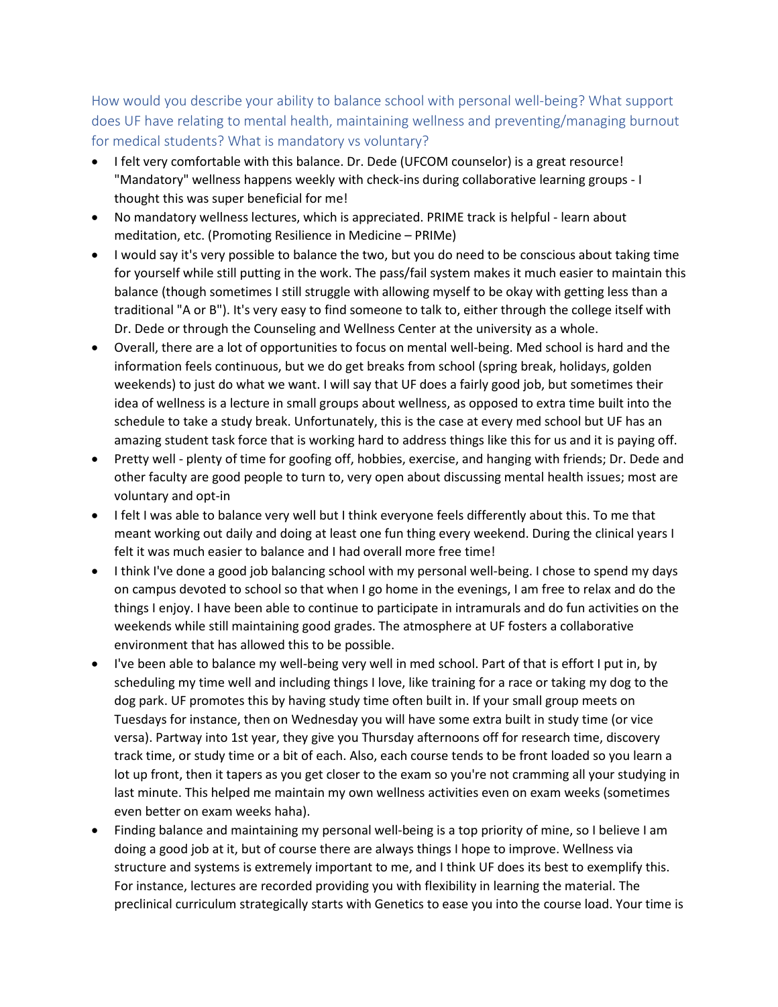<span id="page-8-0"></span>How would you describe your ability to balance school with personal well-being? What support does UF have relating to mental health, maintaining wellness and preventing/managing burnout for medical students? What is mandatory vs voluntary?

- I felt very comfortable with this balance. Dr. Dede (UFCOM counselor) is a great resource! "Mandatory" wellness happens weekly with check-ins during collaborative learning groups - I thought this was super beneficial for me!
- No mandatory wellness lectures, which is appreciated. PRIME track is helpful learn about meditation, etc. (Promoting Resilience in Medicine – PRIMe)
- I would say it's very possible to balance the two, but you do need to be conscious about taking time for yourself while still putting in the work. The pass/fail system makes it much easier to maintain this balance (though sometimes I still struggle with allowing myself to be okay with getting less than a traditional "A or B"). It's very easy to find someone to talk to, either through the college itself with Dr. Dede or through the Counseling and Wellness Center at the university as a whole.
- Overall, there are a lot of opportunities to focus on mental well-being. Med school is hard and the information feels continuous, but we do get breaks from school (spring break, holidays, golden weekends) to just do what we want. I will say that UF does a fairly good job, but sometimes their idea of wellness is a lecture in small groups about wellness, as opposed to extra time built into the schedule to take a study break. Unfortunately, this is the case at every med school but UF has an amazing student task force that is working hard to address things like this for us and it is paying off.
- Pretty well plenty of time for goofing off, hobbies, exercise, and hanging with friends; Dr. Dede and other faculty are good people to turn to, very open about discussing mental health issues; most are voluntary and opt-in
- I felt I was able to balance very well but I think everyone feels differently about this. To me that meant working out daily and doing at least one fun thing every weekend. During the clinical years I felt it was much easier to balance and I had overall more free time!
- I think I've done a good job balancing school with my personal well-being. I chose to spend my days on campus devoted to school so that when I go home in the evenings, I am free to relax and do the things I enjoy. I have been able to continue to participate in intramurals and do fun activities on the weekends while still maintaining good grades. The atmosphere at UF fosters a collaborative environment that has allowed this to be possible.
- I've been able to balance my well-being very well in med school. Part of that is effort I put in, by scheduling my time well and including things I love, like training for a race or taking my dog to the dog park. UF promotes this by having study time often built in. If your small group meets on Tuesdays for instance, then on Wednesday you will have some extra built in study time (or vice versa). Partway into 1st year, they give you Thursday afternoons off for research time, discovery track time, or study time or a bit of each. Also, each course tends to be front loaded so you learn a lot up front, then it tapers as you get closer to the exam so you're not cramming all your studying in last minute. This helped me maintain my own wellness activities even on exam weeks (sometimes even better on exam weeks haha).
- Finding balance and maintaining my personal well-being is a top priority of mine, so I believe I am doing a good job at it, but of course there are always things I hope to improve. Wellness via structure and systems is extremely important to me, and I think UF does its best to exemplify this. For instance, lectures are recorded providing you with flexibility in learning the material. The preclinical curriculum strategically starts with Genetics to ease you into the course load. Your time is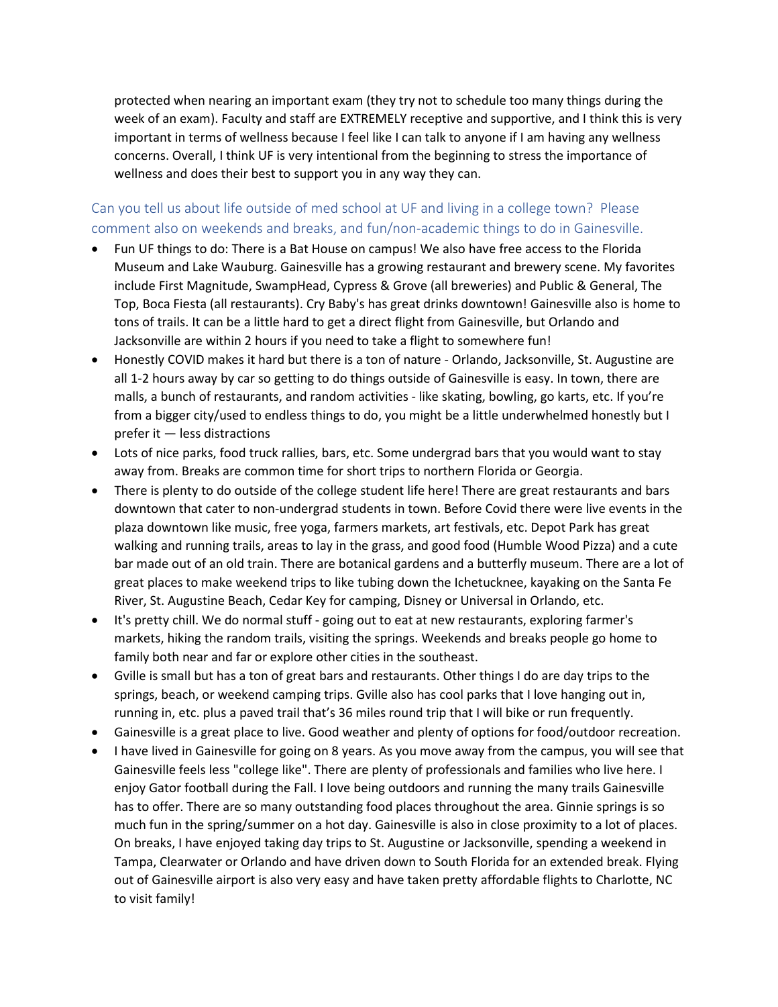protected when nearing an important exam (they try not to schedule too many things during the week of an exam). Faculty and staff are EXTREMELY receptive and supportive, and I think this is very important in terms of wellness because I feel like I can talk to anyone if I am having any wellness concerns. Overall, I think UF is very intentional from the beginning to stress the importance of wellness and does their best to support you in any way they can.

# <span id="page-9-0"></span>Can you tell us about life outside of med school at UF and living in a college town? Please comment also on weekends and breaks, and fun/non-academic things to do in Gainesville.

- Fun UF things to do: There is a Bat House on campus! We also have free access to the Florida Museum and Lake Wauburg. Gainesville has a growing restaurant and brewery scene. My favorites include First Magnitude, SwampHead, Cypress & Grove (all breweries) and Public & General, The Top, Boca Fiesta (all restaurants). Cry Baby's has great drinks downtown! Gainesville also is home to tons of trails. It can be a little hard to get a direct flight from Gainesville, but Orlando and Jacksonville are within 2 hours if you need to take a flight to somewhere fun!
- Honestly COVID makes it hard but there is a ton of nature Orlando, Jacksonville, St. Augustine are all 1-2 hours away by car so getting to do things outside of Gainesville is easy. In town, there are malls, a bunch of restaurants, and random activities - like skating, bowling, go karts, etc. If you're from a bigger city/used to endless things to do, you might be a little underwhelmed honestly but I prefer it — less distractions
- Lots of nice parks, food truck rallies, bars, etc. Some undergrad bars that you would want to stay away from. Breaks are common time for short trips to northern Florida or Georgia.
- There is plenty to do outside of the college student life here! There are great restaurants and bars downtown that cater to non-undergrad students in town. Before Covid there were live events in the plaza downtown like music, free yoga, farmers markets, art festivals, etc. Depot Park has great walking and running trails, areas to lay in the grass, and good food (Humble Wood Pizza) and a cute bar made out of an old train. There are botanical gardens and a butterfly museum. There are a lot of great places to make weekend trips to like tubing down the Ichetucknee, kayaking on the Santa Fe River, St. Augustine Beach, Cedar Key for camping, Disney or Universal in Orlando, etc.
- It's pretty chill. We do normal stuff going out to eat at new restaurants, exploring farmer's markets, hiking the random trails, visiting the springs. Weekends and breaks people go home to family both near and far or explore other cities in the southeast.
- Gville is small but has a ton of great bars and restaurants. Other things I do are day trips to the springs, beach, or weekend camping trips. Gville also has cool parks that I love hanging out in, running in, etc. plus a paved trail that's 36 miles round trip that I will bike or run frequently.
- Gainesville is a great place to live. Good weather and plenty of options for food/outdoor recreation.
- I have lived in Gainesville for going on 8 years. As you move away from the campus, you will see that Gainesville feels less "college like". There are plenty of professionals and families who live here. I enjoy Gator football during the Fall. I love being outdoors and running the many trails Gainesville has to offer. There are so many outstanding food places throughout the area. Ginnie springs is so much fun in the spring/summer on a hot day. Gainesville is also in close proximity to a lot of places. On breaks, I have enjoyed taking day trips to St. Augustine or Jacksonville, spending a weekend in Tampa, Clearwater or Orlando and have driven down to South Florida for an extended break. Flying out of Gainesville airport is also very easy and have taken pretty affordable flights to Charlotte, NC to visit family!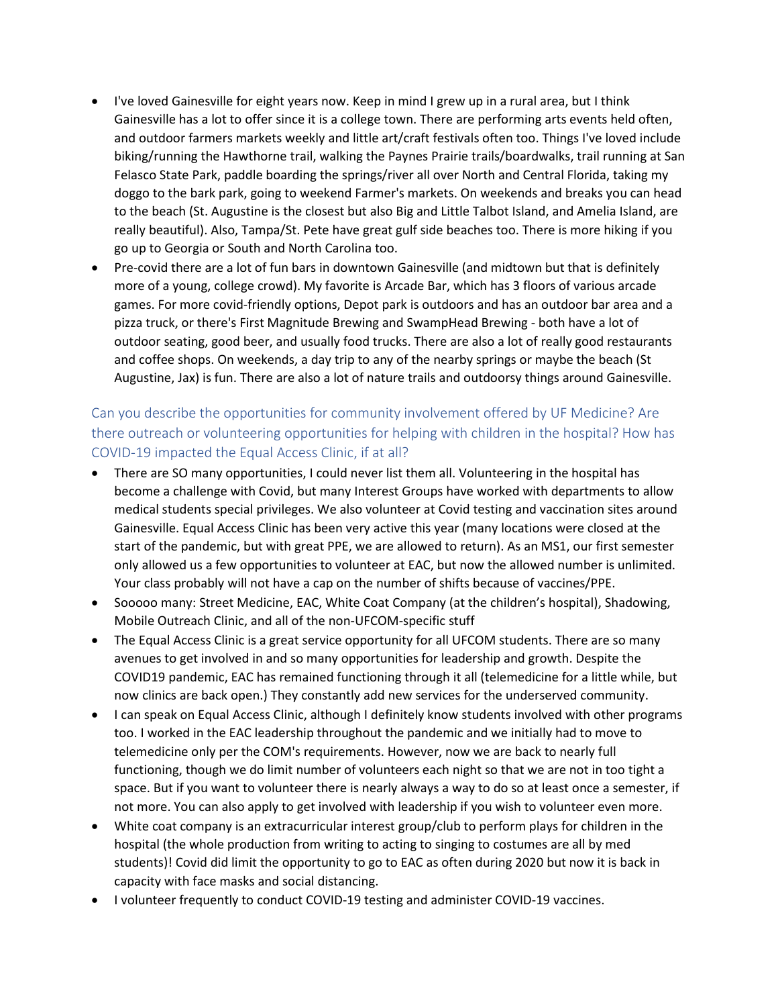- I've loved Gainesville for eight years now. Keep in mind I grew up in a rural area, but I think Gainesville has a lot to offer since it is a college town. There are performing arts events held often, and outdoor farmers markets weekly and little art/craft festivals often too. Things I've loved include biking/running the Hawthorne trail, walking the Paynes Prairie trails/boardwalks, trail running at San Felasco State Park, paddle boarding the springs/river all over North and Central Florida, taking my doggo to the bark park, going to weekend Farmer's markets. On weekends and breaks you can head to the beach (St. Augustine is the closest but also Big and Little Talbot Island, and Amelia Island, are really beautiful). Also, Tampa/St. Pete have great gulf side beaches too. There is more hiking if you go up to Georgia or South and North Carolina too.
- Pre-covid there are a lot of fun bars in downtown Gainesville (and midtown but that is definitely more of a young, college crowd). My favorite is Arcade Bar, which has 3 floors of various arcade games. For more covid-friendly options, Depot park is outdoors and has an outdoor bar area and a pizza truck, or there's First Magnitude Brewing and SwampHead Brewing - both have a lot of outdoor seating, good beer, and usually food trucks. There are also a lot of really good restaurants and coffee shops. On weekends, a day trip to any of the nearby springs or maybe the beach (St Augustine, Jax) is fun. There are also a lot of nature trails and outdoorsy things around Gainesville.

# <span id="page-10-0"></span>Can you describe the opportunities for community involvement offered by UF Medicine? Are there outreach or volunteering opportunities for helping with children in the hospital? How has COVID-19 impacted the Equal Access Clinic, if at all?

- There are SO many opportunities, I could never list them all. Volunteering in the hospital has become a challenge with Covid, but many Interest Groups have worked with departments to allow medical students special privileges. We also volunteer at Covid testing and vaccination sites around Gainesville. Equal Access Clinic has been very active this year (many locations were closed at the start of the pandemic, but with great PPE, we are allowed to return). As an MS1, our first semester only allowed us a few opportunities to volunteer at EAC, but now the allowed number is unlimited. Your class probably will not have a cap on the number of shifts because of vaccines/PPE.
- Sooooo many: Street Medicine, EAC, White Coat Company (at the children's hospital), Shadowing, Mobile Outreach Clinic, and all of the non-UFCOM-specific stuff
- The Equal Access Clinic is a great service opportunity for all UFCOM students. There are so many avenues to get involved in and so many opportunities for leadership and growth. Despite the COVID19 pandemic, EAC has remained functioning through it all (telemedicine for a little while, but now clinics are back open.) They constantly add new services for the underserved community.
- I can speak on Equal Access Clinic, although I definitely know students involved with other programs too. I worked in the EAC leadership throughout the pandemic and we initially had to move to telemedicine only per the COM's requirements. However, now we are back to nearly full functioning, though we do limit number of volunteers each night so that we are not in too tight a space. But if you want to volunteer there is nearly always a way to do so at least once a semester, if not more. You can also apply to get involved with leadership if you wish to volunteer even more.
- White coat company is an extracurricular interest group/club to perform plays for children in the hospital (the whole production from writing to acting to singing to costumes are all by med students)! Covid did limit the opportunity to go to EAC as often during 2020 but now it is back in capacity with face masks and social distancing.
- I volunteer frequently to conduct COVID-19 testing and administer COVID-19 vaccines.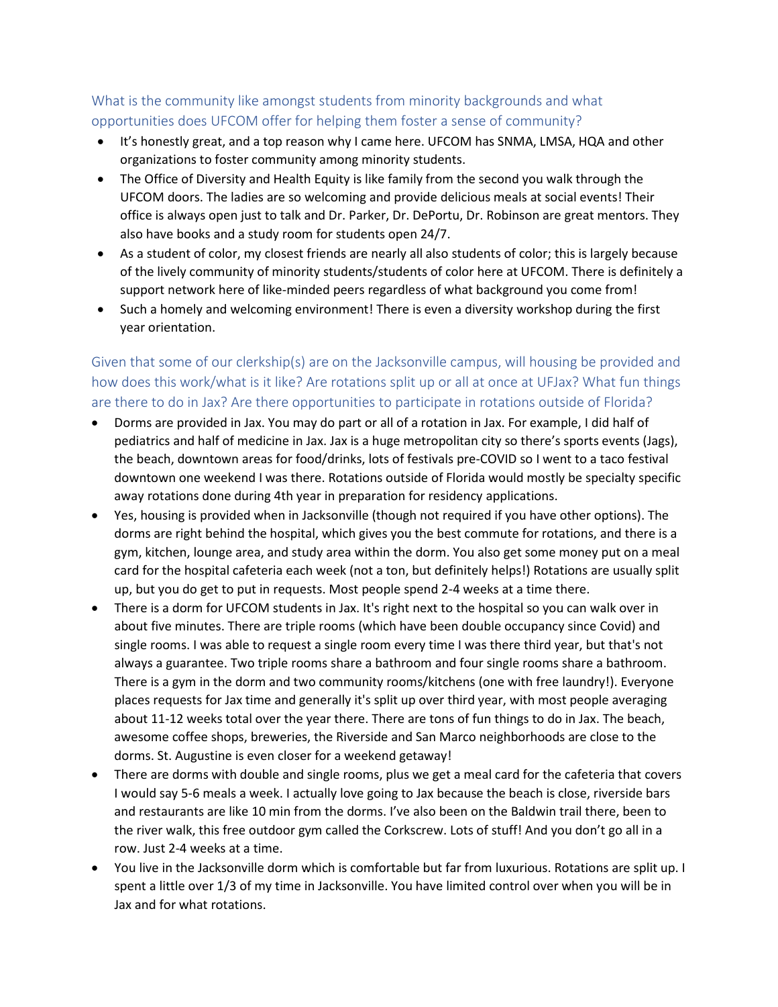### <span id="page-11-0"></span>What is the community like amongst students from minority backgrounds and what opportunities does UFCOM offer for helping them foster a sense of community?

- It's honestly great, and a top reason why I came here. UFCOM has SNMA, LMSA, HQA and other organizations to foster community among minority students.
- The Office of Diversity and Health Equity is like family from the second you walk through the UFCOM doors. The ladies are so welcoming and provide delicious meals at social events! Their office is always open just to talk and Dr. Parker, Dr. DePortu, Dr. Robinson are great mentors. They also have books and a study room for students open 24/7.
- As a student of color, my closest friends are nearly all also students of color; this is largely because of the lively community of minority students/students of color here at UFCOM. There is definitely a support network here of like-minded peers regardless of what background you come from!
- Such a homely and welcoming environment! There is even a diversity workshop during the first year orientation.

<span id="page-11-1"></span>Given that some of our clerkship(s) are on the Jacksonville campus, will housing be provided and how does this work/what is it like? Are rotations split up or all at once at UFJax? What fun things are there to do in Jax? Are there opportunities to participate in rotations outside of Florida?

- Dorms are provided in Jax. You may do part or all of a rotation in Jax. For example, I did half of pediatrics and half of medicine in Jax. Jax is a huge metropolitan city so there's sports events (Jags), the beach, downtown areas for food/drinks, lots of festivals pre-COVID so I went to a taco festival downtown one weekend I was there. Rotations outside of Florida would mostly be specialty specific away rotations done during 4th year in preparation for residency applications.
- Yes, housing is provided when in Jacksonville (though not required if you have other options). The dorms are right behind the hospital, which gives you the best commute for rotations, and there is a gym, kitchen, lounge area, and study area within the dorm. You also get some money put on a meal card for the hospital cafeteria each week (not a ton, but definitely helps!) Rotations are usually split up, but you do get to put in requests. Most people spend 2-4 weeks at a time there.
- There is a dorm for UFCOM students in Jax. It's right next to the hospital so you can walk over in about five minutes. There are triple rooms (which have been double occupancy since Covid) and single rooms. I was able to request a single room every time I was there third year, but that's not always a guarantee. Two triple rooms share a bathroom and four single rooms share a bathroom. There is a gym in the dorm and two community rooms/kitchens (one with free laundry!). Everyone places requests for Jax time and generally it's split up over third year, with most people averaging about 11-12 weeks total over the year there. There are tons of fun things to do in Jax. The beach, awesome coffee shops, breweries, the Riverside and San Marco neighborhoods are close to the dorms. St. Augustine is even closer for a weekend getaway!
- There are dorms with double and single rooms, plus we get a meal card for the cafeteria that covers I would say 5-6 meals a week. I actually love going to Jax because the beach is close, riverside bars and restaurants are like 10 min from the dorms. I've also been on the Baldwin trail there, been to the river walk, this free outdoor gym called the Corkscrew. Lots of stuff! And you don't go all in a row. Just 2-4 weeks at a time.
- You live in the Jacksonville dorm which is comfortable but far from luxurious. Rotations are split up. I spent a little over 1/3 of my time in Jacksonville. You have limited control over when you will be in Jax and for what rotations.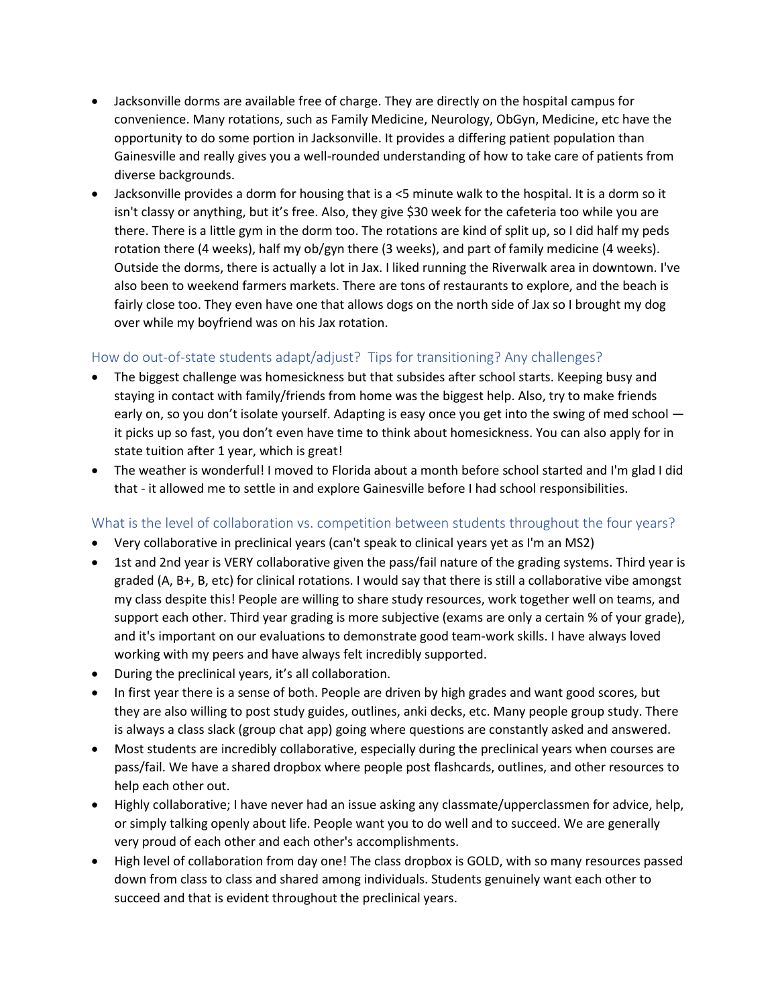- Jacksonville dorms are available free of charge. They are directly on the hospital campus for convenience. Many rotations, such as Family Medicine, Neurology, ObGyn, Medicine, etc have the opportunity to do some portion in Jacksonville. It provides a differing patient population than Gainesville and really gives you a well-rounded understanding of how to take care of patients from diverse backgrounds.
- Jacksonville provides a dorm for housing that is a <5 minute walk to the hospital. It is a dorm so it isn't classy or anything, but it's free. Also, they give \$30 week for the cafeteria too while you are there. There is a little gym in the dorm too. The rotations are kind of split up, so I did half my peds rotation there (4 weeks), half my ob/gyn there (3 weeks), and part of family medicine (4 weeks). Outside the dorms, there is actually a lot in Jax. I liked running the Riverwalk area in downtown. I've also been to weekend farmers markets. There are tons of restaurants to explore, and the beach is fairly close too. They even have one that allows dogs on the north side of Jax so I brought my dog over while my boyfriend was on his Jax rotation.

### <span id="page-12-0"></span>How do out-of-state students adapt/adjust? Tips for transitioning? Any challenges?

- The biggest challenge was homesickness but that subsides after school starts. Keeping busy and staying in contact with family/friends from home was the biggest help. Also, try to make friends early on, so you don't isolate yourself. Adapting is easy once you get into the swing of med school  $$ it picks up so fast, you don't even have time to think about homesickness. You can also apply for in state tuition after 1 year, which is great!
- The weather is wonderful! I moved to Florida about a month before school started and I'm glad I did that - it allowed me to settle in and explore Gainesville before I had school responsibilities.

#### <span id="page-12-1"></span>What is the level of collaboration vs. competition between students throughout the four years?

- Very collaborative in preclinical years (can't speak to clinical years yet as I'm an MS2)
- 1st and 2nd year is VERY collaborative given the pass/fail nature of the grading systems. Third year is graded (A, B+, B, etc) for clinical rotations. I would say that there is still a collaborative vibe amongst my class despite this! People are willing to share study resources, work together well on teams, and support each other. Third year grading is more subjective (exams are only a certain % of your grade), and it's important on our evaluations to demonstrate good team-work skills. I have always loved working with my peers and have always felt incredibly supported.
- During the preclinical years, it's all collaboration.
- In first year there is a sense of both. People are driven by high grades and want good scores, but they are also willing to post study guides, outlines, anki decks, etc. Many people group study. There is always a class slack (group chat app) going where questions are constantly asked and answered.
- Most students are incredibly collaborative, especially during the preclinical years when courses are pass/fail. We have a shared dropbox where people post flashcards, outlines, and other resources to help each other out.
- Highly collaborative; I have never had an issue asking any classmate/upperclassmen for advice, help, or simply talking openly about life. People want you to do well and to succeed. We are generally very proud of each other and each other's accomplishments.
- High level of collaboration from day one! The class dropbox is GOLD, with so many resources passed down from class to class and shared among individuals. Students genuinely want each other to succeed and that is evident throughout the preclinical years.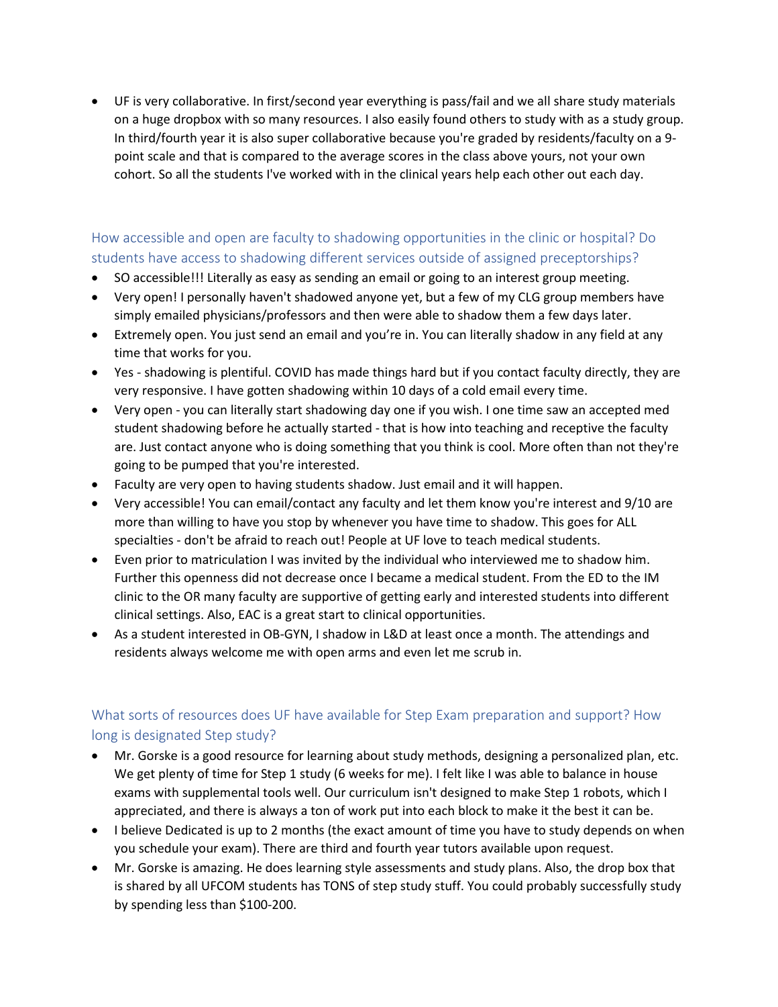• UF is very collaborative. In first/second year everything is pass/fail and we all share study materials on a huge dropbox with so many resources. I also easily found others to study with as a study group. In third/fourth year it is also super collaborative because you're graded by residents/faculty on a 9 point scale and that is compared to the average scores in the class above yours, not your own cohort. So all the students I've worked with in the clinical years help each other out each day.

### <span id="page-13-0"></span>How accessible and open are faculty to shadowing opportunities in the clinic or hospital? Do students have access to shadowing different services outside of assigned preceptorships?

- SO accessible!!! Literally as easy as sending an email or going to an interest group meeting.
- Very open! I personally haven't shadowed anyone yet, but a few of my CLG group members have simply emailed physicians/professors and then were able to shadow them a few days later.
- Extremely open. You just send an email and you're in. You can literally shadow in any field at any time that works for you.
- Yes shadowing is plentiful. COVID has made things hard but if you contact faculty directly, they are very responsive. I have gotten shadowing within 10 days of a cold email every time.
- Very open you can literally start shadowing day one if you wish. I one time saw an accepted med student shadowing before he actually started - that is how into teaching and receptive the faculty are. Just contact anyone who is doing something that you think is cool. More often than not they're going to be pumped that you're interested.
- Faculty are very open to having students shadow. Just email and it will happen.
- Very accessible! You can email/contact any faculty and let them know you're interest and 9/10 are more than willing to have you stop by whenever you have time to shadow. This goes for ALL specialties - don't be afraid to reach out! People at UF love to teach medical students.
- Even prior to matriculation I was invited by the individual who interviewed me to shadow him. Further this openness did not decrease once I became a medical student. From the ED to the IM clinic to the OR many faculty are supportive of getting early and interested students into different clinical settings. Also, EAC is a great start to clinical opportunities.
- As a student interested in OB-GYN, I shadow in L&D at least once a month. The attendings and residents always welcome me with open arms and even let me scrub in.

# <span id="page-13-1"></span>What sorts of resources does UF have available for Step Exam preparation and support? How long is designated Step study?

- Mr. Gorske is a good resource for learning about study methods, designing a personalized plan, etc. We get plenty of time for Step 1 study (6 weeks for me). I felt like I was able to balance in house exams with supplemental tools well. Our curriculum isn't designed to make Step 1 robots, which I appreciated, and there is always a ton of work put into each block to make it the best it can be.
- I believe Dedicated is up to 2 months (the exact amount of time you have to study depends on when you schedule your exam). There are third and fourth year tutors available upon request.
- Mr. Gorske is amazing. He does learning style assessments and study plans. Also, the drop box that is shared by all UFCOM students has TONS of step study stuff. You could probably successfully study by spending less than \$100-200.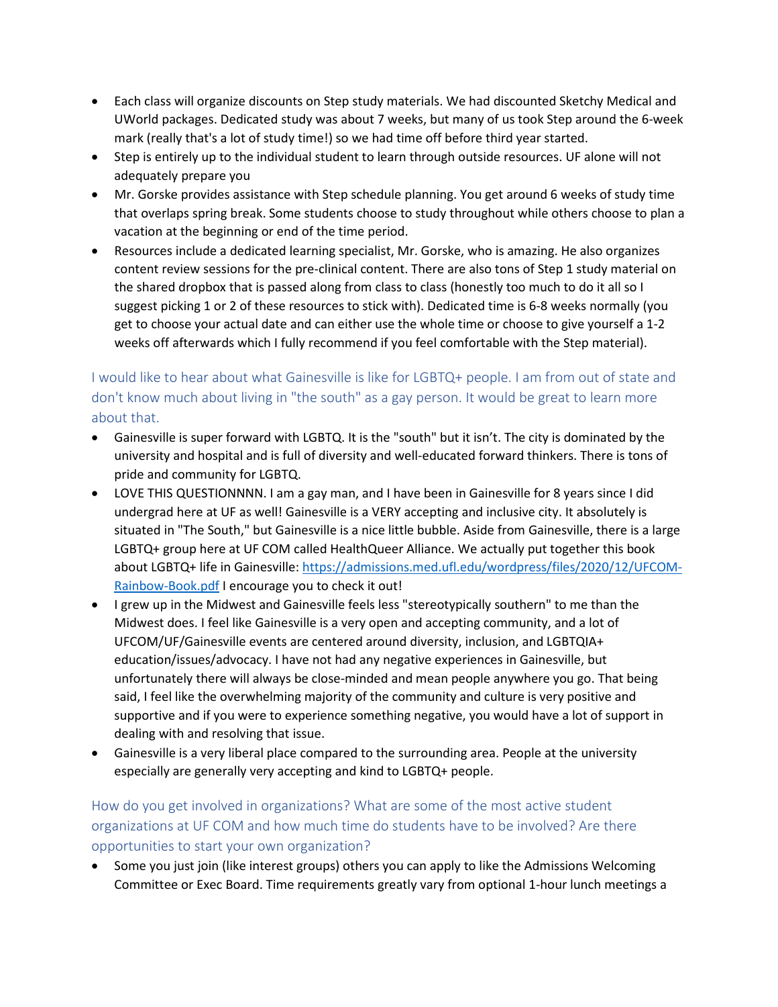- Each class will organize discounts on Step study materials. We had discounted Sketchy Medical and UWorld packages. Dedicated study was about 7 weeks, but many of us took Step around the 6-week mark (really that's a lot of study time!) so we had time off before third year started.
- Step is entirely up to the individual student to learn through outside resources. UF alone will not adequately prepare you
- Mr. Gorske provides assistance with Step schedule planning. You get around 6 weeks of study time that overlaps spring break. Some students choose to study throughout while others choose to plan a vacation at the beginning or end of the time period.
- Resources include a dedicated learning specialist, Mr. Gorske, who is amazing. He also organizes content review sessions for the pre-clinical content. There are also tons of Step 1 study material on the shared dropbox that is passed along from class to class (honestly too much to do it all so I suggest picking 1 or 2 of these resources to stick with). Dedicated time is 6-8 weeks normally (you get to choose your actual date and can either use the whole time or choose to give yourself a 1-2 weeks off afterwards which I fully recommend if you feel comfortable with the Step material).

# <span id="page-14-0"></span>I would like to hear about what Gainesville is like for LGBTQ+ people. I am from out of state and don't know much about living in "the south" as a gay person. It would be great to learn more about that.

- Gainesville is super forward with LGBTQ. It is the "south" but it isn't. The city is dominated by the university and hospital and is full of diversity and well-educated forward thinkers. There is tons of pride and community for LGBTQ.
- LOVE THIS QUESTIONNNN. I am a gay man, and I have been in Gainesville for 8 years since I did undergrad here at UF as well! Gainesville is a VERY accepting and inclusive city. It absolutely is situated in "The South," but Gainesville is a nice little bubble. Aside from Gainesville, there is a large LGBTQ+ group here at UF COM called HealthQueer Alliance. We actually put together this book about LGBTQ+ life in Gainesville: [https://admissions.med.ufl.edu/wordpress/files/2020/12/UFCOM-](https://admissions.med.ufl.edu/wordpress/files/2020/12/UFCOM-Rainbow-Book.pdf)[Rainbow-Book.pdf](https://admissions.med.ufl.edu/wordpress/files/2020/12/UFCOM-Rainbow-Book.pdf) I encourage you to check it out!
- I grew up in the Midwest and Gainesville feels less "stereotypically southern" to me than the Midwest does. I feel like Gainesville is a very open and accepting community, and a lot of UFCOM/UF/Gainesville events are centered around diversity, inclusion, and LGBTQIA+ education/issues/advocacy. I have not had any negative experiences in Gainesville, but unfortunately there will always be close-minded and mean people anywhere you go. That being said, I feel like the overwhelming majority of the community and culture is very positive and supportive and if you were to experience something negative, you would have a lot of support in dealing with and resolving that issue.
- Gainesville is a very liberal place compared to the surrounding area. People at the university especially are generally very accepting and kind to LGBTQ+ people.

### <span id="page-14-1"></span>How do you get involved in organizations? What are some of the most active student organizations at UF COM and how much time do students have to be involved? Are there opportunities to start your own organization?

• Some you just join (like interest groups) others you can apply to like the Admissions Welcoming Committee or Exec Board. Time requirements greatly vary from optional 1-hour lunch meetings a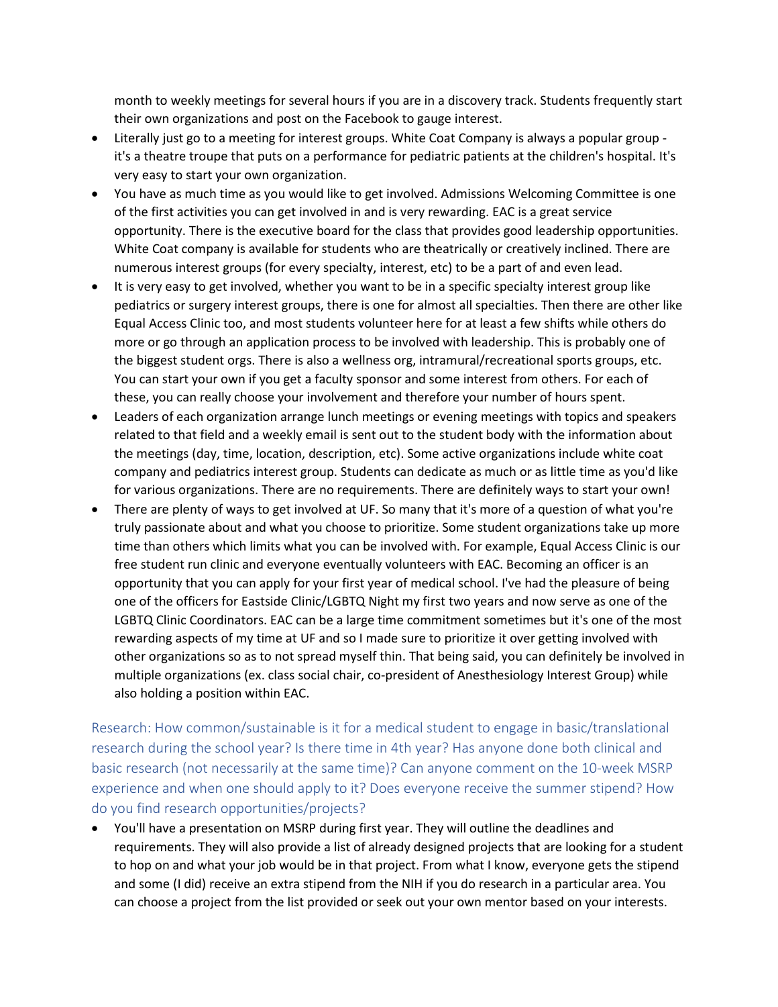month to weekly meetings for several hours if you are in a discovery track. Students frequently start their own organizations and post on the Facebook to gauge interest.

- Literally just go to a meeting for interest groups. White Coat Company is always a popular group it's a theatre troupe that puts on a performance for pediatric patients at the children's hospital. It's very easy to start your own organization.
- You have as much time as you would like to get involved. Admissions Welcoming Committee is one of the first activities you can get involved in and is very rewarding. EAC is a great service opportunity. There is the executive board for the class that provides good leadership opportunities. White Coat company is available for students who are theatrically or creatively inclined. There are numerous interest groups (for every specialty, interest, etc) to be a part of and even lead.
- It is very easy to get involved, whether you want to be in a specific specialty interest group like pediatrics or surgery interest groups, there is one for almost all specialties. Then there are other like Equal Access Clinic too, and most students volunteer here for at least a few shifts while others do more or go through an application process to be involved with leadership. This is probably one of the biggest student orgs. There is also a wellness org, intramural/recreational sports groups, etc. You can start your own if you get a faculty sponsor and some interest from others. For each of these, you can really choose your involvement and therefore your number of hours spent.
- Leaders of each organization arrange lunch meetings or evening meetings with topics and speakers related to that field and a weekly email is sent out to the student body with the information about the meetings (day, time, location, description, etc). Some active organizations include white coat company and pediatrics interest group. Students can dedicate as much or as little time as you'd like for various organizations. There are no requirements. There are definitely ways to start your own!
- There are plenty of ways to get involved at UF. So many that it's more of a question of what you're truly passionate about and what you choose to prioritize. Some student organizations take up more time than others which limits what you can be involved with. For example, Equal Access Clinic is our free student run clinic and everyone eventually volunteers with EAC. Becoming an officer is an opportunity that you can apply for your first year of medical school. I've had the pleasure of being one of the officers for Eastside Clinic/LGBTQ Night my first two years and now serve as one of the LGBTQ Clinic Coordinators. EAC can be a large time commitment sometimes but it's one of the most rewarding aspects of my time at UF and so I made sure to prioritize it over getting involved with other organizations so as to not spread myself thin. That being said, you can definitely be involved in multiple organizations (ex. class social chair, co-president of Anesthesiology Interest Group) while also holding a position within EAC.

<span id="page-15-0"></span>Research: How common/sustainable is it for a medical student to engage in basic/translational research during the school year? Is there time in 4th year? Has anyone done both clinical and basic research (not necessarily at the same time)? Can anyone comment on the 10-week MSRP experience and when one should apply to it? Does everyone receive the summer stipend? How do you find research opportunities/projects?

• You'll have a presentation on MSRP during first year. They will outline the deadlines and requirements. They will also provide a list of already designed projects that are looking for a student to hop on and what your job would be in that project. From what I know, everyone gets the stipend and some (I did) receive an extra stipend from the NIH if you do research in a particular area. You can choose a project from the list provided or seek out your own mentor based on your interests.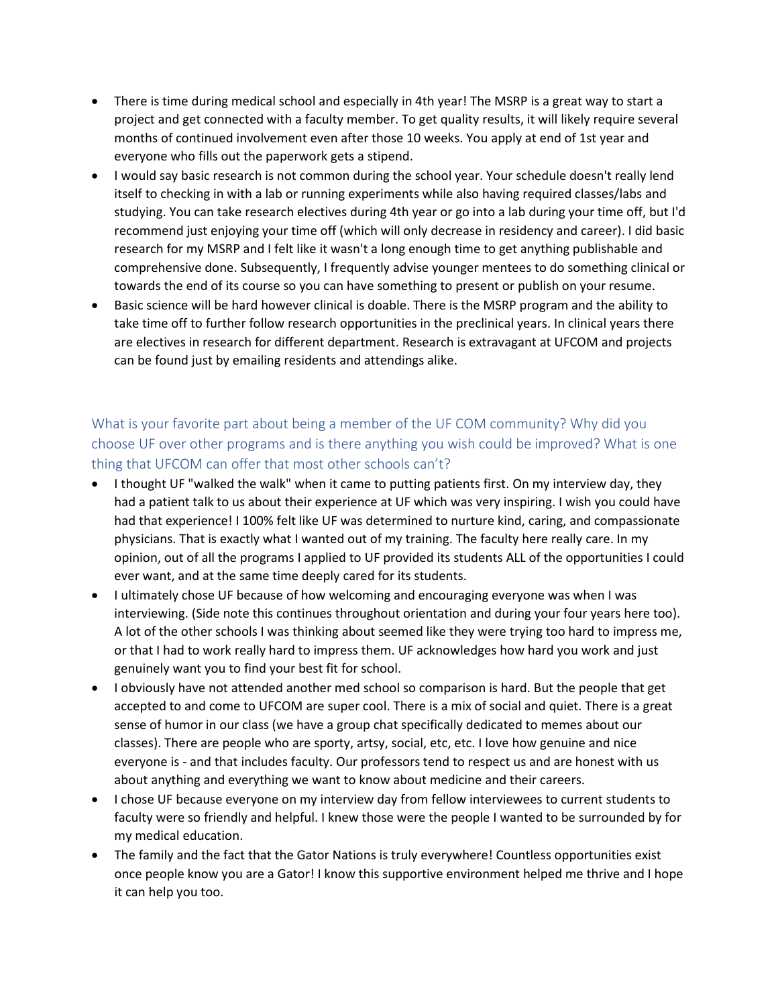- There is time during medical school and especially in 4th year! The MSRP is a great way to start a project and get connected with a faculty member. To get quality results, it will likely require several months of continued involvement even after those 10 weeks. You apply at end of 1st year and everyone who fills out the paperwork gets a stipend.
- I would say basic research is not common during the school year. Your schedule doesn't really lend itself to checking in with a lab or running experiments while also having required classes/labs and studying. You can take research electives during 4th year or go into a lab during your time off, but I'd recommend just enjoying your time off (which will only decrease in residency and career). I did basic research for my MSRP and I felt like it wasn't a long enough time to get anything publishable and comprehensive done. Subsequently, I frequently advise younger mentees to do something clinical or towards the end of its course so you can have something to present or publish on your resume.
- Basic science will be hard however clinical is doable. There is the MSRP program and the ability to take time off to further follow research opportunities in the preclinical years. In clinical years there are electives in research for different department. Research is extravagant at UFCOM and projects can be found just by emailing residents and attendings alike.

# <span id="page-16-0"></span>What is your favorite part about being a member of the UF COM community? Why did you choose UF over other programs and is there anything you wish could be improved? What is one thing that UFCOM can offer that most other schools can't?

- I thought UF "walked the walk" when it came to putting patients first. On my interview day, they had a patient talk to us about their experience at UF which was very inspiring. I wish you could have had that experience! I 100% felt like UF was determined to nurture kind, caring, and compassionate physicians. That is exactly what I wanted out of my training. The faculty here really care. In my opinion, out of all the programs I applied to UF provided its students ALL of the opportunities I could ever want, and at the same time deeply cared for its students.
- I ultimately chose UF because of how welcoming and encouraging everyone was when I was interviewing. (Side note this continues throughout orientation and during your four years here too). A lot of the other schools I was thinking about seemed like they were trying too hard to impress me, or that I had to work really hard to impress them. UF acknowledges how hard you work and just genuinely want you to find your best fit for school.
- I obviously have not attended another med school so comparison is hard. But the people that get accepted to and come to UFCOM are super cool. There is a mix of social and quiet. There is a great sense of humor in our class (we have a group chat specifically dedicated to memes about our classes). There are people who are sporty, artsy, social, etc, etc. I love how genuine and nice everyone is - and that includes faculty. Our professors tend to respect us and are honest with us about anything and everything we want to know about medicine and their careers.
- I chose UF because everyone on my interview day from fellow interviewees to current students to faculty were so friendly and helpful. I knew those were the people I wanted to be surrounded by for my medical education.
- The family and the fact that the Gator Nations is truly everywhere! Countless opportunities exist once people know you are a Gator! I know this supportive environment helped me thrive and I hope it can help you too.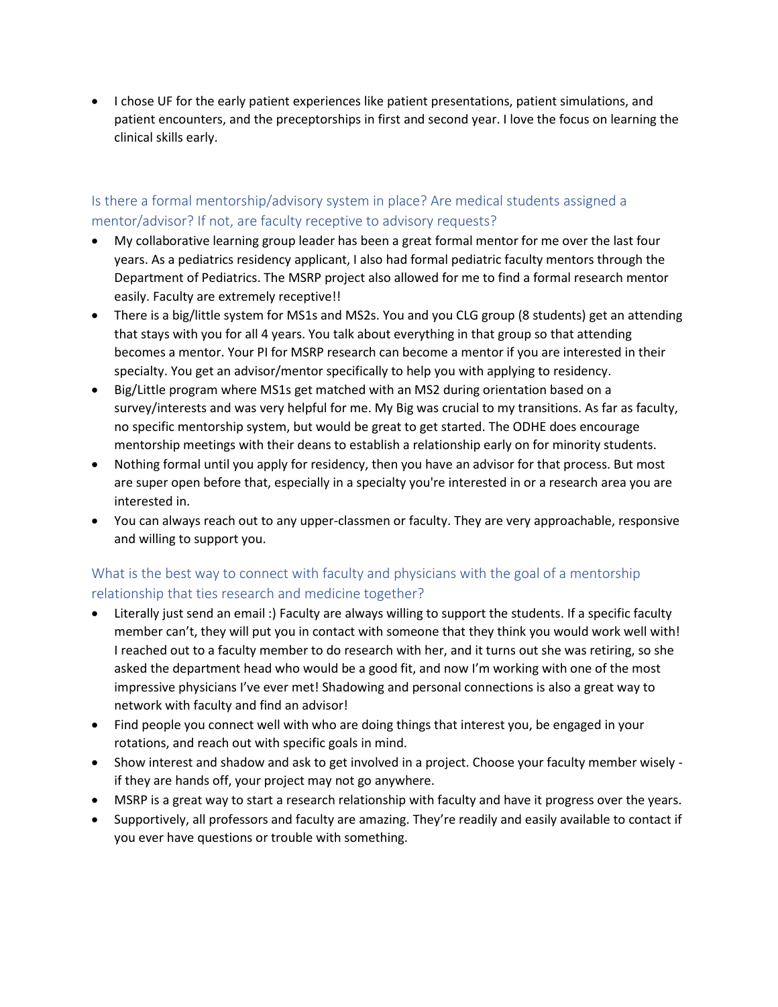• I chose UF for the early patient experiences like patient presentations, patient simulations, and patient encounters, and the preceptorships in first and second year. I love the focus on learning the clinical skills early.

### <span id="page-17-0"></span>Is there a formal mentorship/advisory system in place? Are medical students assigned a mentor/advisor? If not, are faculty receptive to advisory requests?

- My collaborative learning group leader has been a great formal mentor for me over the last four years. As a pediatrics residency applicant, I also had formal pediatric faculty mentors through the Department of Pediatrics. The MSRP project also allowed for me to find a formal research mentor easily. Faculty are extremely receptive!!
- There is a big/little system for MS1s and MS2s. You and you CLG group (8 students) get an attending that stays with you for all 4 years. You talk about everything in that group so that attending becomes a mentor. Your PI for MSRP research can become a mentor if you are interested in their specialty. You get an advisor/mentor specifically to help you with applying to residency.
- Big/Little program where MS1s get matched with an MS2 during orientation based on a survey/interests and was very helpful for me. My Big was crucial to my transitions. As far as faculty, no specific mentorship system, but would be great to get started. The ODHE does encourage mentorship meetings with their deans to establish a relationship early on for minority students.
- Nothing formal until you apply for residency, then you have an advisor for that process. But most are super open before that, especially in a specialty you're interested in or a research area you are interested in.
- You can always reach out to any upper-classmen or faculty. They are very approachable, responsive and willing to support you.

# <span id="page-17-1"></span>What is the best way to connect with faculty and physicians with the goal of a mentorship relationship that ties research and medicine together?

- Literally just send an email :) Faculty are always willing to support the students. If a specific faculty member can't, they will put you in contact with someone that they think you would work well with! I reached out to a faculty member to do research with her, and it turns out she was retiring, so she asked the department head who would be a good fit, and now I'm working with one of the most impressive physicians I've ever met! Shadowing and personal connections is also a great way to network with faculty and find an advisor!
- Find people you connect well with who are doing things that interest you, be engaged in your rotations, and reach out with specific goals in mind.
- Show interest and shadow and ask to get involved in a project. Choose your faculty member wisely if they are hands off, your project may not go anywhere.
- MSRP is a great way to start a research relationship with faculty and have it progress over the years.
- Supportively, all professors and faculty are amazing. They're readily and easily available to contact if you ever have questions or trouble with something.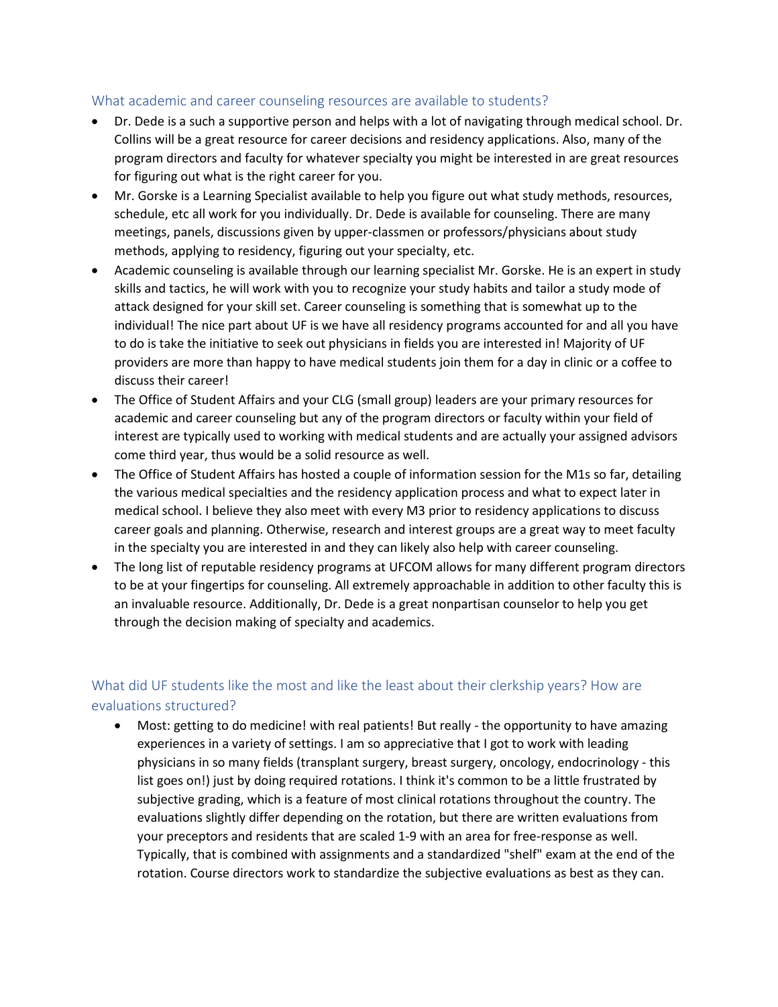#### <span id="page-18-0"></span>What academic and career counseling resources are available to students?

- Dr. Dede is a such a supportive person and helps with a lot of navigating through medical school. Dr. Collins will be a great resource for career decisions and residency applications. Also, many of the program directors and faculty for whatever specialty you might be interested in are great resources for figuring out what is the right career for you.
- Mr. Gorske is a Learning Specialist available to help you figure out what study methods, resources, schedule, etc all work for you individually. Dr. Dede is available for counseling. There are many meetings, panels, discussions given by upper-classmen or professors/physicians about study methods, applying to residency, figuring out your specialty, etc.
- Academic counseling is available through our learning specialist Mr. Gorske. He is an expert in study skills and tactics, he will work with you to recognize your study habits and tailor a study mode of attack designed for your skill set. Career counseling is something that is somewhat up to the individual! The nice part about UF is we have all residency programs accounted for and all you have to do is take the initiative to seek out physicians in fields you are interested in! Majority of UF providers are more than happy to have medical students join them for a day in clinic or a coffee to discuss their career!
- The Office of Student Affairs and your CLG (small group) leaders are your primary resources for academic and career counseling but any of the program directors or faculty within your field of interest are typically used to working with medical students and are actually your assigned advisors come third year, thus would be a solid resource as well.
- The Office of Student Affairs has hosted a couple of information session for the M1s so far, detailing the various medical specialties and the residency application process and what to expect later in medical school. I believe they also meet with every M3 prior to residency applications to discuss career goals and planning. Otherwise, research and interest groups are a great way to meet faculty in the specialty you are interested in and they can likely also help with career counseling.
- The long list of reputable residency programs at UFCOM allows for many different program directors to be at your fingertips for counseling. All extremely approachable in addition to other faculty this is an invaluable resource. Additionally, Dr. Dede is a great nonpartisan counselor to help you get through the decision making of specialty and academics.

### <span id="page-18-1"></span>What did UF students like the most and like the least about their clerkship years? How are evaluations structured?

• Most: getting to do medicine! with real patients! But really - the opportunity to have amazing experiences in a variety of settings. I am so appreciative that I got to work with leading physicians in so many fields (transplant surgery, breast surgery, oncology, endocrinology - this list goes on!) just by doing required rotations. I think it's common to be a little frustrated by subjective grading, which is a feature of most clinical rotations throughout the country. The evaluations slightly differ depending on the rotation, but there are written evaluations from your preceptors and residents that are scaled 1-9 with an area for free-response as well. Typically, that is combined with assignments and a standardized "shelf" exam at the end of the rotation. Course directors work to standardize the subjective evaluations as best as they can.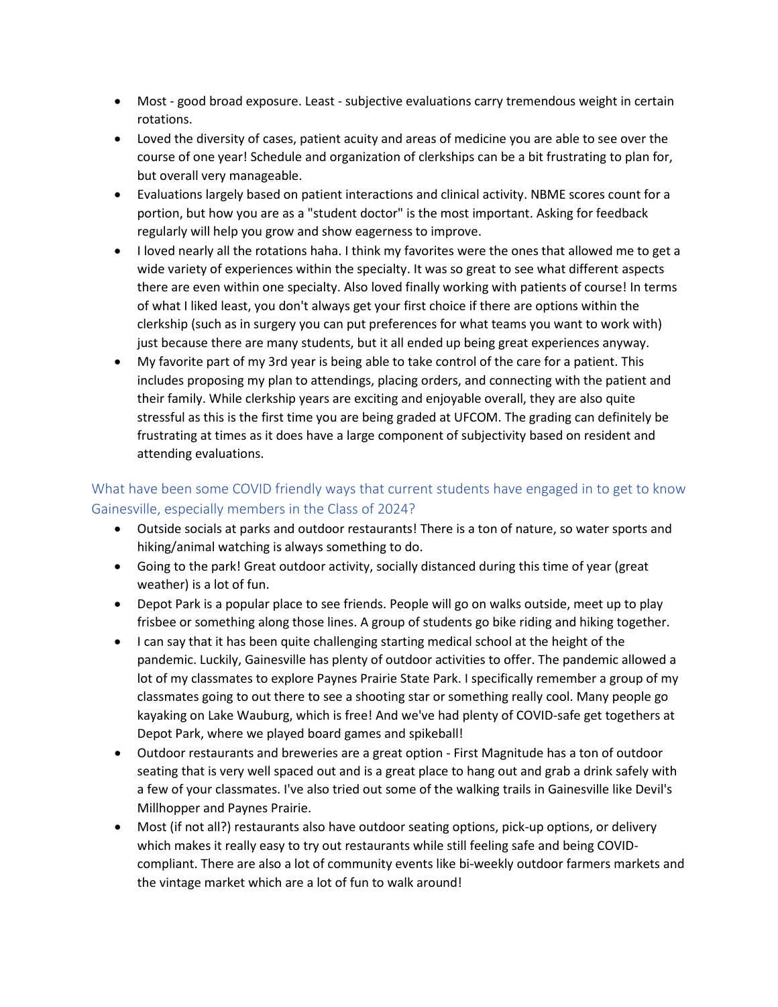- Most good broad exposure. Least subjective evaluations carry tremendous weight in certain rotations.
- Loved the diversity of cases, patient acuity and areas of medicine you are able to see over the course of one year! Schedule and organization of clerkships can be a bit frustrating to plan for, but overall very manageable.
- Evaluations largely based on patient interactions and clinical activity. NBME scores count for a portion, but how you are as a "student doctor" is the most important. Asking for feedback regularly will help you grow and show eagerness to improve.
- I loved nearly all the rotations haha. I think my favorites were the ones that allowed me to get a wide variety of experiences within the specialty. It was so great to see what different aspects there are even within one specialty. Also loved finally working with patients of course! In terms of what I liked least, you don't always get your first choice if there are options within the clerkship (such as in surgery you can put preferences for what teams you want to work with) just because there are many students, but it all ended up being great experiences anyway.
- My favorite part of my 3rd year is being able to take control of the care for a patient. This includes proposing my plan to attendings, placing orders, and connecting with the patient and their family. While clerkship years are exciting and enjoyable overall, they are also quite stressful as this is the first time you are being graded at UFCOM. The grading can definitely be frustrating at times as it does have a large component of subjectivity based on resident and attending evaluations.

# <span id="page-19-0"></span>What have been some COVID friendly ways that current students have engaged in to get to know Gainesville, especially members in the Class of 2024?

- Outside socials at parks and outdoor restaurants! There is a ton of nature, so water sports and hiking/animal watching is always something to do.
- Going to the park! Great outdoor activity, socially distanced during this time of year (great weather) is a lot of fun.
- Depot Park is a popular place to see friends. People will go on walks outside, meet up to play frisbee or something along those lines. A group of students go bike riding and hiking together.
- I can say that it has been quite challenging starting medical school at the height of the pandemic. Luckily, Gainesville has plenty of outdoor activities to offer. The pandemic allowed a lot of my classmates to explore Paynes Prairie State Park. I specifically remember a group of my classmates going to out there to see a shooting star or something really cool. Many people go kayaking on Lake Wauburg, which is free! And we've had plenty of COVID-safe get togethers at Depot Park, where we played board games and spikeball!
- Outdoor restaurants and breweries are a great option First Magnitude has a ton of outdoor seating that is very well spaced out and is a great place to hang out and grab a drink safely with a few of your classmates. I've also tried out some of the walking trails in Gainesville like Devil's Millhopper and Paynes Prairie.
- Most (if not all?) restaurants also have outdoor seating options, pick-up options, or delivery which makes it really easy to try out restaurants while still feeling safe and being COVIDcompliant. There are also a lot of community events like bi-weekly outdoor farmers markets and the vintage market which are a lot of fun to walk around!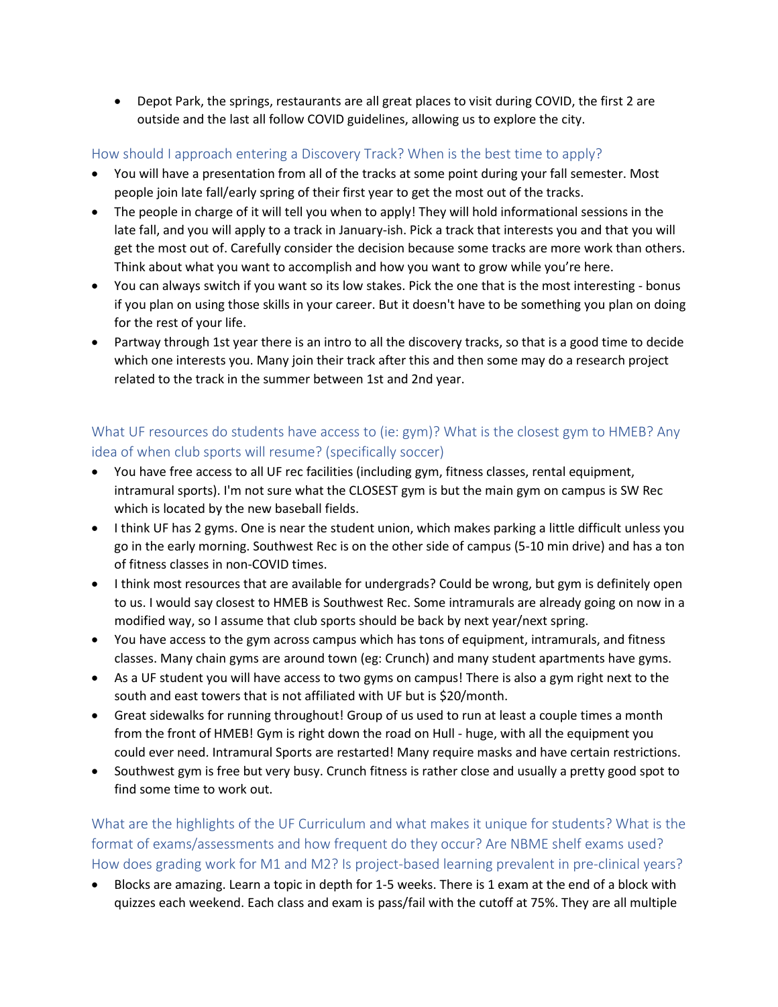• Depot Park, the springs, restaurants are all great places to visit during COVID, the first 2 are outside and the last all follow COVID guidelines, allowing us to explore the city.

### <span id="page-20-0"></span>How should I approach entering a Discovery Track? When is the best time to apply?

- You will have a presentation from all of the tracks at some point during your fall semester. Most people join late fall/early spring of their first year to get the most out of the tracks.
- The people in charge of it will tell you when to apply! They will hold informational sessions in the late fall, and you will apply to a track in January-ish. Pick a track that interests you and that you will get the most out of. Carefully consider the decision because some tracks are more work than others. Think about what you want to accomplish and how you want to grow while you're here.
- You can always switch if you want so its low stakes. Pick the one that is the most interesting bonus if you plan on using those skills in your career. But it doesn't have to be something you plan on doing for the rest of your life.
- Partway through 1st year there is an intro to all the discovery tracks, so that is a good time to decide which one interests you. Many join their track after this and then some may do a research project related to the track in the summer between 1st and 2nd year.

### <span id="page-20-1"></span>What UF resources do students have access to (ie: gym)? What is the closest gym to HMEB? Any idea of when club sports will resume? (specifically soccer)

- You have free access to all UF rec facilities (including gym, fitness classes, rental equipment, intramural sports). I'm not sure what the CLOSEST gym is but the main gym on campus is SW Rec which is located by the new baseball fields.
- I think UF has 2 gyms. One is near the student union, which makes parking a little difficult unless you go in the early morning. Southwest Rec is on the other side of campus (5-10 min drive) and has a ton of fitness classes in non-COVID times.
- I think most resources that are available for undergrads? Could be wrong, but gym is definitely open to us. I would say closest to HMEB is Southwest Rec. Some intramurals are already going on now in a modified way, so I assume that club sports should be back by next year/next spring.
- You have access to the gym across campus which has tons of equipment, intramurals, and fitness classes. Many chain gyms are around town (eg: Crunch) and many student apartments have gyms.
- As a UF student you will have access to two gyms on campus! There is also a gym right next to the south and east towers that is not affiliated with UF but is \$20/month.
- Great sidewalks for running throughout! Group of us used to run at least a couple times a month from the front of HMEB! Gym is right down the road on Hull - huge, with all the equipment you could ever need. Intramural Sports are restarted! Many require masks and have certain restrictions.
- Southwest gym is free but very busy. Crunch fitness is rather close and usually a pretty good spot to find some time to work out.

<span id="page-20-2"></span>What are the highlights of the UF Curriculum and what makes it unique for students? What is the format of exams/assessments and how frequent do they occur? Are NBME shelf exams used? How does grading work for M1 and M2? Is project-based learning prevalent in pre-clinical years?

• Blocks are amazing. Learn a topic in depth for 1-5 weeks. There is 1 exam at the end of a block with quizzes each weekend. Each class and exam is pass/fail with the cutoff at 75%. They are all multiple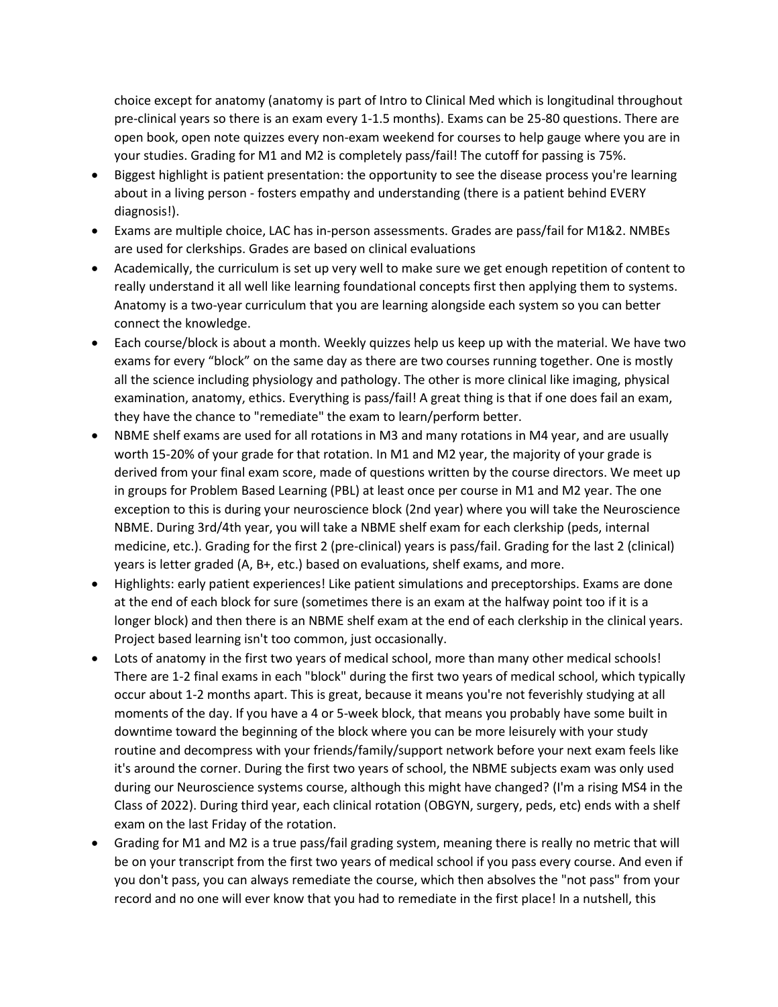choice except for anatomy (anatomy is part of Intro to Clinical Med which is longitudinal throughout pre-clinical years so there is an exam every 1-1.5 months). Exams can be 25-80 questions. There are open book, open note quizzes every non-exam weekend for courses to help gauge where you are in your studies. Grading for M1 and M2 is completely pass/fail! The cutoff for passing is 75%.

- Biggest highlight is patient presentation: the opportunity to see the disease process you're learning about in a living person - fosters empathy and understanding (there is a patient behind EVERY diagnosis!).
- Exams are multiple choice, LAC has in-person assessments. Grades are pass/fail for M1&2. NMBEs are used for clerkships. Grades are based on clinical evaluations
- Academically, the curriculum is set up very well to make sure we get enough repetition of content to really understand it all well like learning foundational concepts first then applying them to systems. Anatomy is a two-year curriculum that you are learning alongside each system so you can better connect the knowledge.
- Each course/block is about a month. Weekly quizzes help us keep up with the material. We have two exams for every "block" on the same day as there are two courses running together. One is mostly all the science including physiology and pathology. The other is more clinical like imaging, physical examination, anatomy, ethics. Everything is pass/fail! A great thing is that if one does fail an exam, they have the chance to "remediate" the exam to learn/perform better.
- NBME shelf exams are used for all rotations in M3 and many rotations in M4 year, and are usually worth 15-20% of your grade for that rotation. In M1 and M2 year, the majority of your grade is derived from your final exam score, made of questions written by the course directors. We meet up in groups for Problem Based Learning (PBL) at least once per course in M1 and M2 year. The one exception to this is during your neuroscience block (2nd year) where you will take the Neuroscience NBME. During 3rd/4th year, you will take a NBME shelf exam for each clerkship (peds, internal medicine, etc.). Grading for the first 2 (pre-clinical) years is pass/fail. Grading for the last 2 (clinical) years is letter graded (A, B+, etc.) based on evaluations, shelf exams, and more.
- Highlights: early patient experiences! Like patient simulations and preceptorships. Exams are done at the end of each block for sure (sometimes there is an exam at the halfway point too if it is a longer block) and then there is an NBME shelf exam at the end of each clerkship in the clinical years. Project based learning isn't too common, just occasionally.
- Lots of anatomy in the first two years of medical school, more than many other medical schools! There are 1-2 final exams in each "block" during the first two years of medical school, which typically occur about 1-2 months apart. This is great, because it means you're not feverishly studying at all moments of the day. If you have a 4 or 5-week block, that means you probably have some built in downtime toward the beginning of the block where you can be more leisurely with your study routine and decompress with your friends/family/support network before your next exam feels like it's around the corner. During the first two years of school, the NBME subjects exam was only used during our Neuroscience systems course, although this might have changed? (I'm a rising MS4 in the Class of 2022). During third year, each clinical rotation (OBGYN, surgery, peds, etc) ends with a shelf exam on the last Friday of the rotation.
- Grading for M1 and M2 is a true pass/fail grading system, meaning there is really no metric that will be on your transcript from the first two years of medical school if you pass every course. And even if you don't pass, you can always remediate the course, which then absolves the "not pass" from your record and no one will ever know that you had to remediate in the first place! In a nutshell, this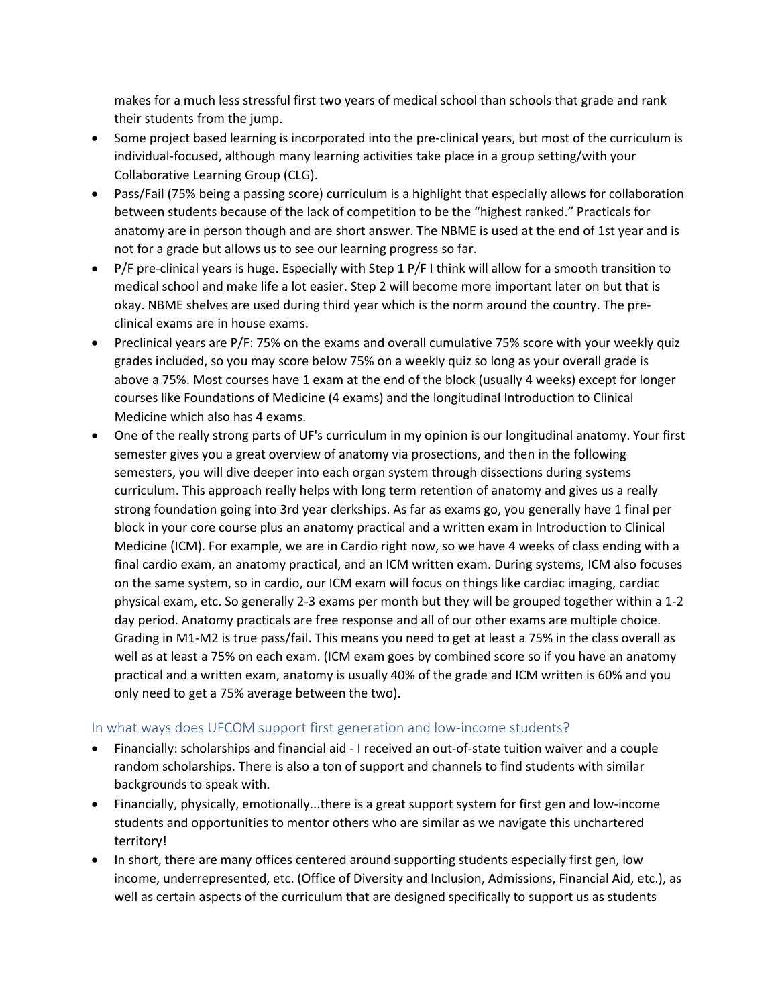makes for a much less stressful first two years of medical school than schools that grade and rank their students from the jump.

- Some project based learning is incorporated into the pre-clinical years, but most of the curriculum is individual-focused, although many learning activities take place in a group setting/with your Collaborative Learning Group (CLG).
- Pass/Fail (75% being a passing score) curriculum is a highlight that especially allows for collaboration between students because of the lack of competition to be the "highest ranked." Practicals for anatomy are in person though and are short answer. The NBME is used at the end of 1st year and is not for a grade but allows us to see our learning progress so far.
- P/F pre-clinical years is huge. Especially with Step 1 P/F I think will allow for a smooth transition to medical school and make life a lot easier. Step 2 will become more important later on but that is okay. NBME shelves are used during third year which is the norm around the country. The preclinical exams are in house exams.
- Preclinical years are P/F: 75% on the exams and overall cumulative 75% score with your weekly quiz grades included, so you may score below 75% on a weekly quiz so long as your overall grade is above a 75%. Most courses have 1 exam at the end of the block (usually 4 weeks) except for longer courses like Foundations of Medicine (4 exams) and the longitudinal Introduction to Clinical Medicine which also has 4 exams.
- One of the really strong parts of UF's curriculum in my opinion is our longitudinal anatomy. Your first semester gives you a great overview of anatomy via prosections, and then in the following semesters, you will dive deeper into each organ system through dissections during systems curriculum. This approach really helps with long term retention of anatomy and gives us a really strong foundation going into 3rd year clerkships. As far as exams go, you generally have 1 final per block in your core course plus an anatomy practical and a written exam in Introduction to Clinical Medicine (ICM). For example, we are in Cardio right now, so we have 4 weeks of class ending with a final cardio exam, an anatomy practical, and an ICM written exam. During systems, ICM also focuses on the same system, so in cardio, our ICM exam will focus on things like cardiac imaging, cardiac physical exam, etc. So generally 2-3 exams per month but they will be grouped together within a 1-2 day period. Anatomy practicals are free response and all of our other exams are multiple choice. Grading in M1-M2 is true pass/fail. This means you need to get at least a 75% in the class overall as well as at least a 75% on each exam. (ICM exam goes by combined score so if you have an anatomy practical and a written exam, anatomy is usually 40% of the grade and ICM written is 60% and you only need to get a 75% average between the two).

#### <span id="page-22-0"></span>In what ways does UFCOM support first generation and low-income students?

- Financially: scholarships and financial aid I received an out-of-state tuition waiver and a couple random scholarships. There is also a ton of support and channels to find students with similar backgrounds to speak with.
- Financially, physically, emotionally...there is a great support system for first gen and low-income students and opportunities to mentor others who are similar as we navigate this unchartered territory!
- In short, there are many offices centered around supporting students especially first gen, low income, underrepresented, etc. (Office of Diversity and Inclusion, Admissions, Financial Aid, etc.), as well as certain aspects of the curriculum that are designed specifically to support us as students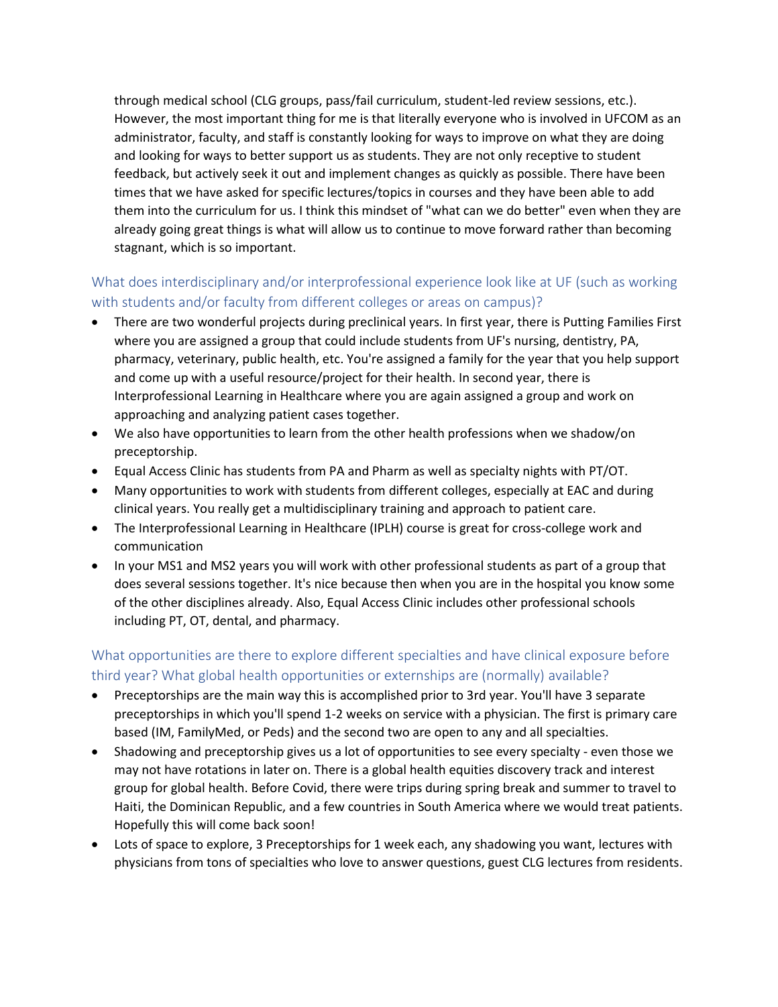through medical school (CLG groups, pass/fail curriculum, student-led review sessions, etc.). However, the most important thing for me is that literally everyone who is involved in UFCOM as an administrator, faculty, and staff is constantly looking for ways to improve on what they are doing and looking for ways to better support us as students. They are not only receptive to student feedback, but actively seek it out and implement changes as quickly as possible. There have been times that we have asked for specific lectures/topics in courses and they have been able to add them into the curriculum for us. I think this mindset of "what can we do better" even when they are already going great things is what will allow us to continue to move forward rather than becoming stagnant, which is so important.

### <span id="page-23-0"></span>What does interdisciplinary and/or interprofessional experience look like at UF (such as working with students and/or faculty from different colleges or areas on campus)?

- There are two wonderful projects during preclinical years. In first year, there is Putting Families First where you are assigned a group that could include students from UF's nursing, dentistry, PA, pharmacy, veterinary, public health, etc. You're assigned a family for the year that you help support and come up with a useful resource/project for their health. In second year, there is Interprofessional Learning in Healthcare where you are again assigned a group and work on approaching and analyzing patient cases together.
- We also have opportunities to learn from the other health professions when we shadow/on preceptorship.
- Equal Access Clinic has students from PA and Pharm as well as specialty nights with PT/OT.
- Many opportunities to work with students from different colleges, especially at EAC and during clinical years. You really get a multidisciplinary training and approach to patient care.
- The Interprofessional Learning in Healthcare (IPLH) course is great for cross-college work and communication
- In your MS1 and MS2 years you will work with other professional students as part of a group that does several sessions together. It's nice because then when you are in the hospital you know some of the other disciplines already. Also, Equal Access Clinic includes other professional schools including PT, OT, dental, and pharmacy.

# <span id="page-23-1"></span>What opportunities are there to explore different specialties and have clinical exposure before third year? What global health opportunities or externships are (normally) available?

- Preceptorships are the main way this is accomplished prior to 3rd year. You'll have 3 separate preceptorships in which you'll spend 1-2 weeks on service with a physician. The first is primary care based (IM, FamilyMed, or Peds) and the second two are open to any and all specialties.
- Shadowing and preceptorship gives us a lot of opportunities to see every specialty even those we may not have rotations in later on. There is a global health equities discovery track and interest group for global health. Before Covid, there were trips during spring break and summer to travel to Haiti, the Dominican Republic, and a few countries in South America where we would treat patients. Hopefully this will come back soon!
- Lots of space to explore, 3 Preceptorships for 1 week each, any shadowing you want, lectures with physicians from tons of specialties who love to answer questions, guest CLG lectures from residents.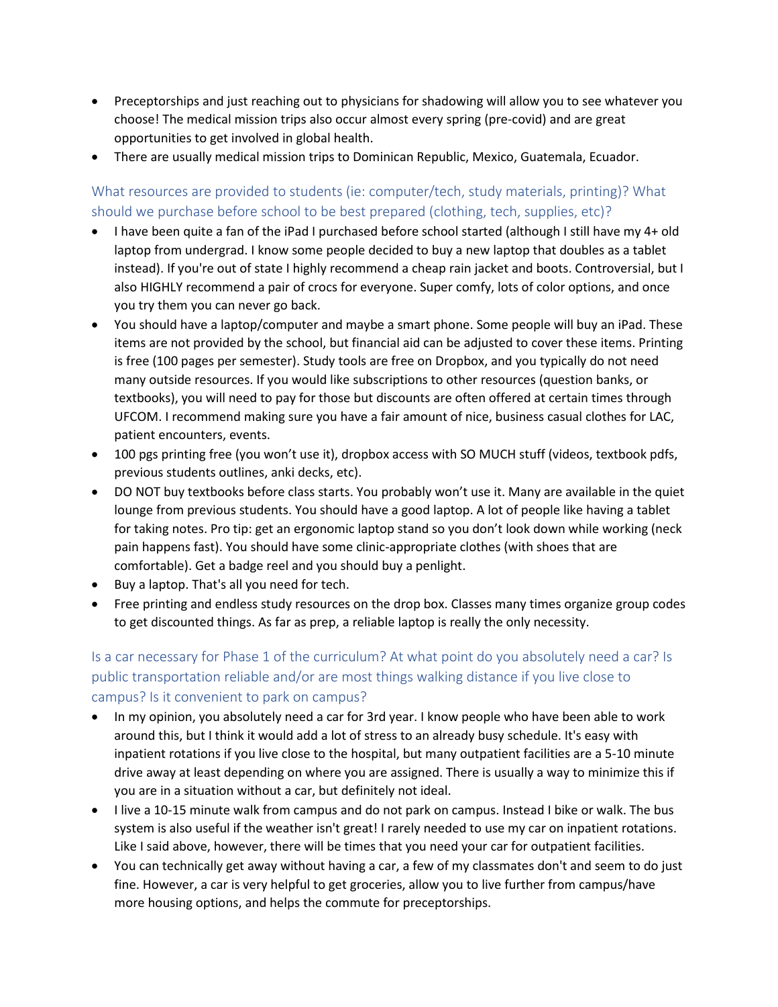- Preceptorships and just reaching out to physicians for shadowing will allow you to see whatever you choose! The medical mission trips also occur almost every spring (pre-covid) and are great opportunities to get involved in global health.
- There are usually medical mission trips to Dominican Republic, Mexico, Guatemala, Ecuador.

<span id="page-24-0"></span>What resources are provided to students (ie: computer/tech, study materials, printing)? What should we purchase before school to be best prepared (clothing, tech, supplies, etc)?

- I have been quite a fan of the iPad I purchased before school started (although I still have my 4+ old laptop from undergrad. I know some people decided to buy a new laptop that doubles as a tablet instead). If you're out of state I highly recommend a cheap rain jacket and boots. Controversial, but I also HIGHLY recommend a pair of crocs for everyone. Super comfy, lots of color options, and once you try them you can never go back.
- You should have a laptop/computer and maybe a smart phone. Some people will buy an iPad. These items are not provided by the school, but financial aid can be adjusted to cover these items. Printing is free (100 pages per semester). Study tools are free on Dropbox, and you typically do not need many outside resources. If you would like subscriptions to other resources (question banks, or textbooks), you will need to pay for those but discounts are often offered at certain times through UFCOM. I recommend making sure you have a fair amount of nice, business casual clothes for LAC, patient encounters, events.
- 100 pgs printing free (you won't use it), dropbox access with SO MUCH stuff (videos, textbook pdfs, previous students outlines, anki decks, etc).
- DO NOT buy textbooks before class starts. You probably won't use it. Many are available in the quiet lounge from previous students. You should have a good laptop. A lot of people like having a tablet for taking notes. Pro tip: get an ergonomic laptop stand so you don't look down while working (neck pain happens fast). You should have some clinic-appropriate clothes (with shoes that are comfortable). Get a badge reel and you should buy a penlight.
- Buy a laptop. That's all you need for tech.
- Free printing and endless study resources on the drop box. Classes many times organize group codes to get discounted things. As far as prep, a reliable laptop is really the only necessity.

### <span id="page-24-1"></span>Is a car necessary for Phase 1 of the curriculum? At what point do you absolutely need a car? Is public transportation reliable and/or are most things walking distance if you live close to campus? Is it convenient to park on campus?

- In my opinion, you absolutely need a car for 3rd year. I know people who have been able to work around this, but I think it would add a lot of stress to an already busy schedule. It's easy with inpatient rotations if you live close to the hospital, but many outpatient facilities are a 5-10 minute drive away at least depending on where you are assigned. There is usually a way to minimize this if you are in a situation without a car, but definitely not ideal.
- I live a 10-15 minute walk from campus and do not park on campus. Instead I bike or walk. The bus system is also useful if the weather isn't great! I rarely needed to use my car on inpatient rotations. Like I said above, however, there will be times that you need your car for outpatient facilities.
- You can technically get away without having a car, a few of my classmates don't and seem to do just fine. However, a car is very helpful to get groceries, allow you to live further from campus/have more housing options, and helps the commute for preceptorships.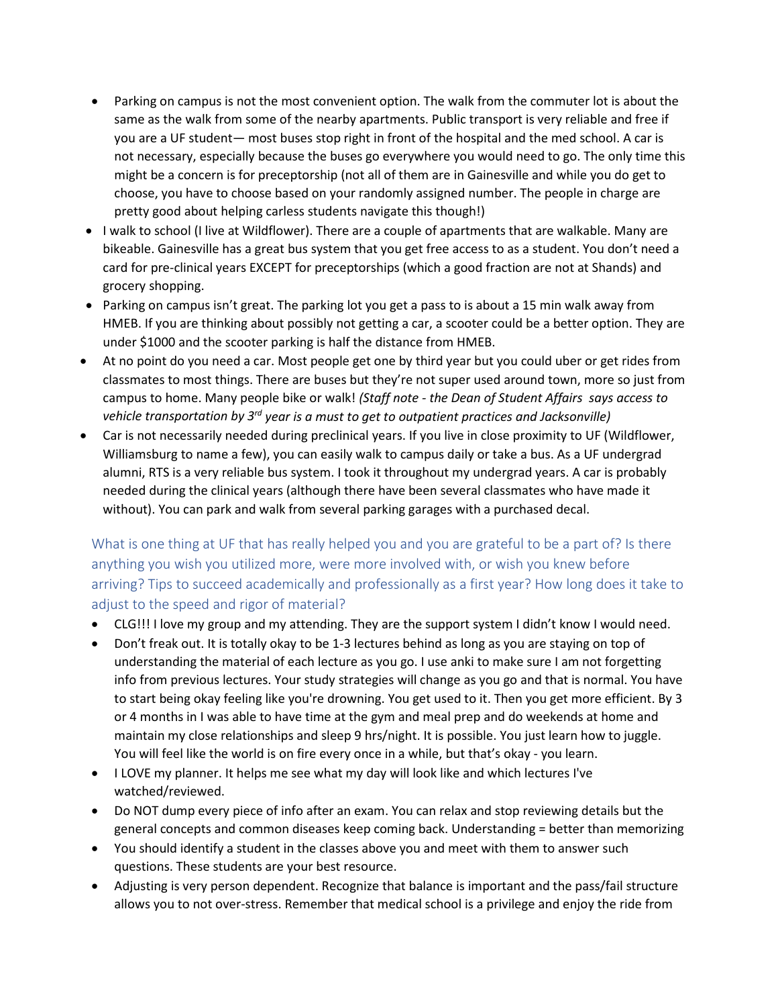- Parking on campus is not the most convenient option. The walk from the commuter lot is about the same as the walk from some of the nearby apartments. Public transport is very reliable and free if you are a UF student— most buses stop right in front of the hospital and the med school. A car is not necessary, especially because the buses go everywhere you would need to go. The only time this might be a concern is for preceptorship (not all of them are in Gainesville and while you do get to choose, you have to choose based on your randomly assigned number. The people in charge are pretty good about helping carless students navigate this though!)
- I walk to school (I live at Wildflower). There are a couple of apartments that are walkable. Many are bikeable. Gainesville has a great bus system that you get free access to as a student. You don't need a card for pre-clinical years EXCEPT for preceptorships (which a good fraction are not at Shands) and grocery shopping.
- Parking on campus isn't great. The parking lot you get a pass to is about a 15 min walk away from HMEB. If you are thinking about possibly not getting a car, a scooter could be a better option. They are under \$1000 and the scooter parking is half the distance from HMEB.
- At no point do you need a car. Most people get one by third year but you could uber or get rides from classmates to most things. There are buses but they're not super used around town, more so just from campus to home. Many people bike or walk! *(Staff note - the Dean of Student Affairs says access to vehicle transportation by 3rd year is a must to get to outpatient practices and Jacksonville)*
- Car is not necessarily needed during preclinical years. If you live in close proximity to UF (Wildflower, Williamsburg to name a few), you can easily walk to campus daily or take a bus. As a UF undergrad alumni, RTS is a very reliable bus system. I took it throughout my undergrad years. A car is probably needed during the clinical years (although there have been several classmates who have made it without). You can park and walk from several parking garages with a purchased decal.

<span id="page-25-0"></span>What is one thing at UF that has really helped you and you are grateful to be a part of? Is there anything you wish you utilized more, were more involved with, or wish you knew before arriving? Tips to succeed academically and professionally as a first year? How long does it take to adjust to the speed and rigor of material?

- CLG!!! I love my group and my attending. They are the support system I didn't know I would need.
- Don't freak out. It is totally okay to be 1-3 lectures behind as long as you are staying on top of understanding the material of each lecture as you go. I use anki to make sure I am not forgetting info from previous lectures. Your study strategies will change as you go and that is normal. You have to start being okay feeling like you're drowning. You get used to it. Then you get more efficient. By 3 or 4 months in I was able to have time at the gym and meal prep and do weekends at home and maintain my close relationships and sleep 9 hrs/night. It is possible. You just learn how to juggle. You will feel like the world is on fire every once in a while, but that's okay - you learn.
- I LOVE my planner. It helps me see what my day will look like and which lectures I've watched/reviewed.
- Do NOT dump every piece of info after an exam. You can relax and stop reviewing details but the general concepts and common diseases keep coming back. Understanding = better than memorizing
- You should identify a student in the classes above you and meet with them to answer such questions. These students are your best resource.
- Adjusting is very person dependent. Recognize that balance is important and the pass/fail structure allows you to not over-stress. Remember that medical school is a privilege and enjoy the ride from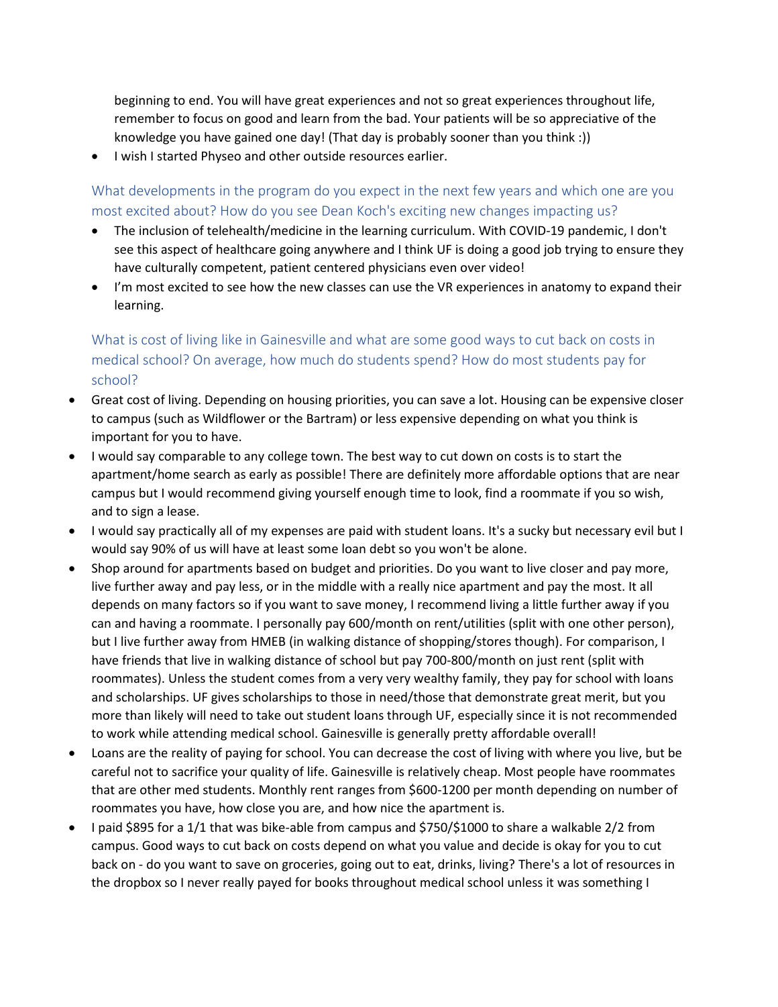beginning to end. You will have great experiences and not so great experiences throughout life, remember to focus on good and learn from the bad. Your patients will be so appreciative of the knowledge you have gained one day! (That day is probably sooner than you think :))

• I wish I started Physeo and other outside resources earlier.

<span id="page-26-0"></span>What developments in the program do you expect in the next few years and which one are you most excited about? How do you see Dean Koch's exciting new changes impacting us?

- The inclusion of telehealth/medicine in the learning curriculum. With COVID-19 pandemic, I don't see this aspect of healthcare going anywhere and I think UF is doing a good job trying to ensure they have culturally competent, patient centered physicians even over video!
- I'm most excited to see how the new classes can use the VR experiences in anatomy to expand their learning.

<span id="page-26-1"></span>What is cost of living like in Gainesville and what are some good ways to cut back on costs in medical school? On average, how much do students spend? How do most students pay for school?

- Great cost of living. Depending on housing priorities, you can save a lot. Housing can be expensive closer to campus (such as Wildflower or the Bartram) or less expensive depending on what you think is important for you to have.
- I would say comparable to any college town. The best way to cut down on costs is to start the apartment/home search as early as possible! There are definitely more affordable options that are near campus but I would recommend giving yourself enough time to look, find a roommate if you so wish, and to sign a lease.
- I would say practically all of my expenses are paid with student loans. It's a sucky but necessary evil but I would say 90% of us will have at least some loan debt so you won't be alone.
- Shop around for apartments based on budget and priorities. Do you want to live closer and pay more, live further away and pay less, or in the middle with a really nice apartment and pay the most. It all depends on many factors so if you want to save money, I recommend living a little further away if you can and having a roommate. I personally pay 600/month on rent/utilities (split with one other person), but I live further away from HMEB (in walking distance of shopping/stores though). For comparison, I have friends that live in walking distance of school but pay 700-800/month on just rent (split with roommates). Unless the student comes from a very very wealthy family, they pay for school with loans and scholarships. UF gives scholarships to those in need/those that demonstrate great merit, but you more than likely will need to take out student loans through UF, especially since it is not recommended to work while attending medical school. Gainesville is generally pretty affordable overall!
- Loans are the reality of paying for school. You can decrease the cost of living with where you live, but be careful not to sacrifice your quality of life. Gainesville is relatively cheap. Most people have roommates that are other med students. Monthly rent ranges from \$600-1200 per month depending on number of roommates you have, how close you are, and how nice the apartment is.
- I paid \$895 for a 1/1 that was bike-able from campus and \$750/\$1000 to share a walkable 2/2 from campus. Good ways to cut back on costs depend on what you value and decide is okay for you to cut back on - do you want to save on groceries, going out to eat, drinks, living? There's a lot of resources in the dropbox so I never really payed for books throughout medical school unless it was something I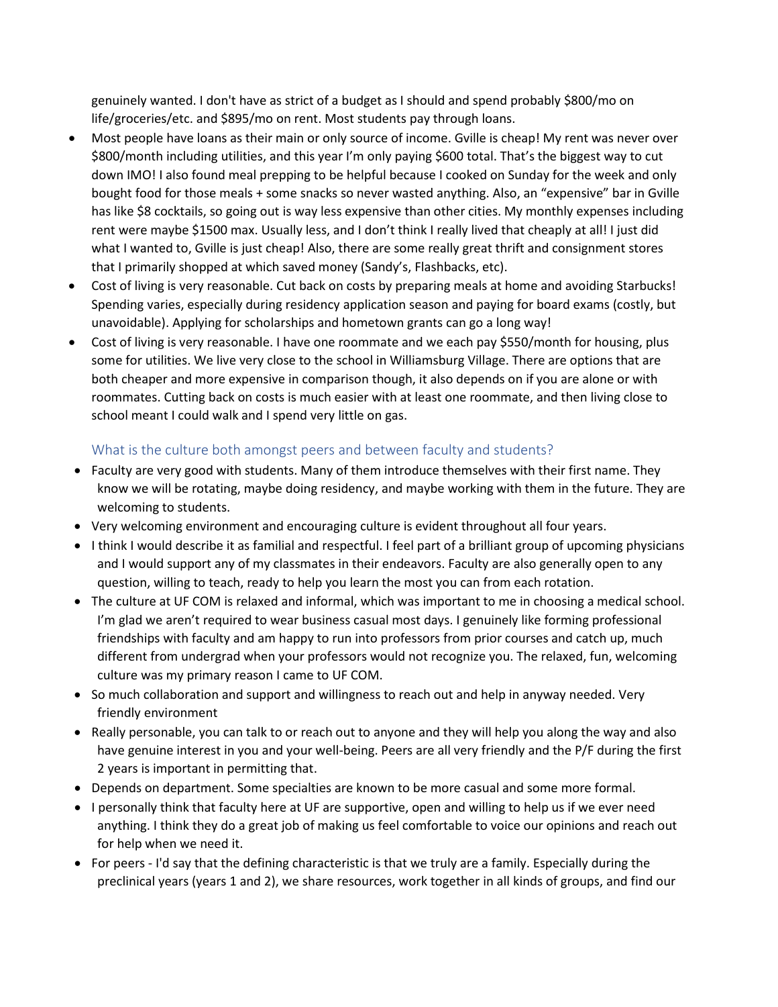genuinely wanted. I don't have as strict of a budget as I should and spend probably \$800/mo on life/groceries/etc. and \$895/mo on rent. Most students pay through loans.

- Most people have loans as their main or only source of income. Gville is cheap! My rent was never over \$800/month including utilities, and this year I'm only paying \$600 total. That's the biggest way to cut down IMO! I also found meal prepping to be helpful because I cooked on Sunday for the week and only bought food for those meals + some snacks so never wasted anything. Also, an "expensive" bar in Gville has like \$8 cocktails, so going out is way less expensive than other cities. My monthly expenses including rent were maybe \$1500 max. Usually less, and I don't think I really lived that cheaply at all! I just did what I wanted to, Gville is just cheap! Also, there are some really great thrift and consignment stores that I primarily shopped at which saved money (Sandy's, Flashbacks, etc).
- Cost of living is very reasonable. Cut back on costs by preparing meals at home and avoiding Starbucks! Spending varies, especially during residency application season and paying for board exams (costly, but unavoidable). Applying for scholarships and hometown grants can go a long way!
- Cost of living is very reasonable. I have one roommate and we each pay \$550/month for housing, plus some for utilities. We live very close to the school in Williamsburg Village. There are options that are both cheaper and more expensive in comparison though, it also depends on if you are alone or with roommates. Cutting back on costs is much easier with at least one roommate, and then living close to school meant I could walk and I spend very little on gas.

### <span id="page-27-0"></span>What is the culture both amongst peers and between faculty and students?

- Faculty are very good with students. Many of them introduce themselves with their first name. They know we will be rotating, maybe doing residency, and maybe working with them in the future. They are welcoming to students.
- Very welcoming environment and encouraging culture is evident throughout all four years.
- I think I would describe it as familial and respectful. I feel part of a brilliant group of upcoming physicians and I would support any of my classmates in their endeavors. Faculty are also generally open to any question, willing to teach, ready to help you learn the most you can from each rotation.
- The culture at UF COM is relaxed and informal, which was important to me in choosing a medical school. I'm glad we aren't required to wear business casual most days. I genuinely like forming professional friendships with faculty and am happy to run into professors from prior courses and catch up, much different from undergrad when your professors would not recognize you. The relaxed, fun, welcoming culture was my primary reason I came to UF COM.
- So much collaboration and support and willingness to reach out and help in anyway needed. Very friendly environment
- Really personable, you can talk to or reach out to anyone and they will help you along the way and also have genuine interest in you and your well-being. Peers are all very friendly and the P/F during the first 2 years is important in permitting that.
- Depends on department. Some specialties are known to be more casual and some more formal.
- I personally think that faculty here at UF are supportive, open and willing to help us if we ever need anything. I think they do a great job of making us feel comfortable to voice our opinions and reach out for help when we need it.
- For peers I'd say that the defining characteristic is that we truly are a family. Especially during the preclinical years (years 1 and 2), we share resources, work together in all kinds of groups, and find our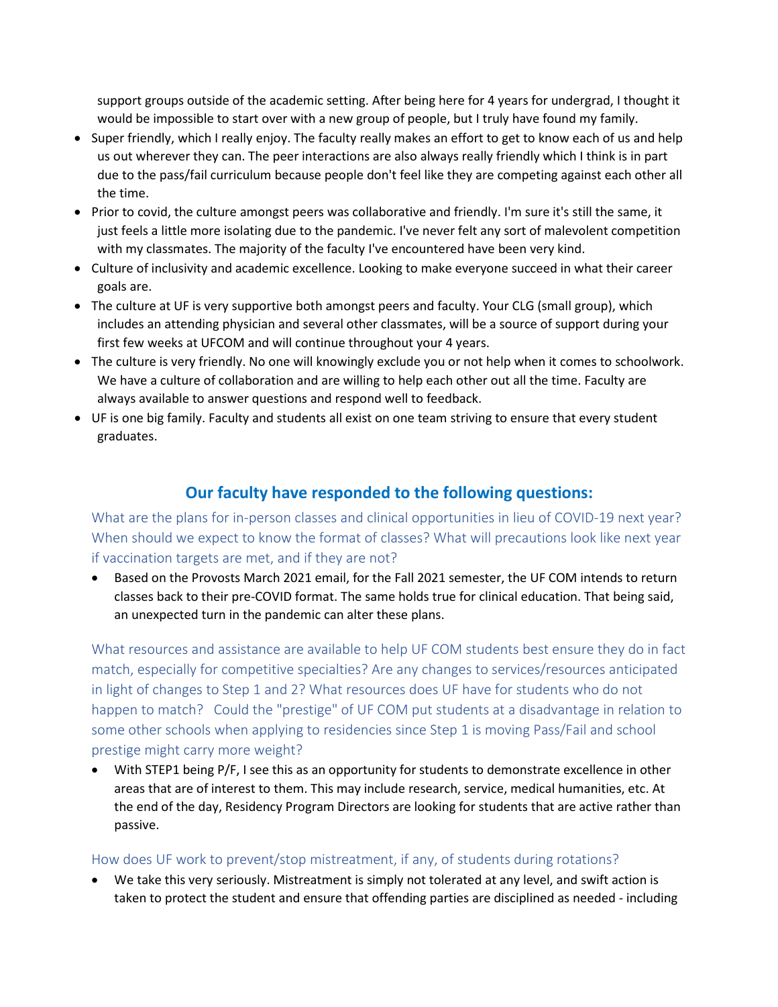support groups outside of the academic setting. After being here for 4 years for undergrad, I thought it would be impossible to start over with a new group of people, but I truly have found my family.

- Super friendly, which I really enjoy. The faculty really makes an effort to get to know each of us and help us out wherever they can. The peer interactions are also always really friendly which I think is in part due to the pass/fail curriculum because people don't feel like they are competing against each other all the time.
- Prior to covid, the culture amongst peers was collaborative and friendly. I'm sure it's still the same, it just feels a little more isolating due to the pandemic. I've never felt any sort of malevolent competition with my classmates. The majority of the faculty I've encountered have been very kind.
- Culture of inclusivity and academic excellence. Looking to make everyone succeed in what their career goals are.
- The culture at UF is very supportive both amongst peers and faculty. Your CLG (small group), which includes an attending physician and several other classmates, will be a source of support during your first few weeks at UFCOM and will continue throughout your 4 years.
- The culture is very friendly. No one will knowingly exclude you or not help when it comes to schoolwork. We have a culture of collaboration and are willing to help each other out all the time. Faculty are always available to answer questions and respond well to feedback.
- UF is one big family. Faculty and students all exist on one team striving to ensure that every student graduates.

# **Our faculty have responded to the following questions:**

<span id="page-28-0"></span>What are the plans for in-person classes and clinical opportunities in lieu of COVID-19 next year? When should we expect to know the format of classes? What will precautions look like next year if vaccination targets are met, and if they are not?

• Based on the Provosts March 2021 email, for the Fall 2021 semester, the UF COM intends to return classes back to their pre-COVID format. The same holds true for clinical education. That being said, an unexpected turn in the pandemic can alter these plans.

<span id="page-28-1"></span>What resources and assistance are available to help UF COM students best ensure they do in fact match, especially for competitive specialties? Are any changes to services/resources anticipated in light of changes to Step 1 and 2? What resources does UF have for students who do not happen to match? Could the "prestige" of UF COM put students at a disadvantage in relation to some other schools when applying to residencies since Step 1 is moving Pass/Fail and school prestige might carry more weight?

With STEP1 being P/F, I see this as an opportunity for students to demonstrate excellence in other areas that are of interest to them. This may include research, service, medical humanities, etc. At the end of the day, Residency Program Directors are looking for students that are active rather than passive.

#### <span id="page-28-2"></span>How does UF work to prevent/stop mistreatment, if any, of students during rotations?

• We take this very seriously. Mistreatment is simply not tolerated at any level, and swift action is taken to protect the student and ensure that offending parties are disciplined as needed - including